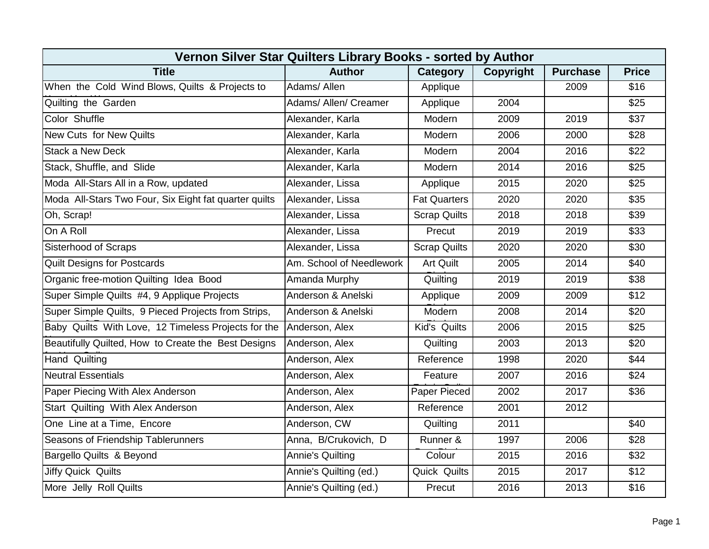| Vernon Silver Star Quilters Library Books - sorted by Author |                          |                     |                  |                 |                  |  |  |  |
|--------------------------------------------------------------|--------------------------|---------------------|------------------|-----------------|------------------|--|--|--|
| <b>Title</b>                                                 | <b>Author</b>            | <b>Category</b>     | <b>Copyright</b> | <b>Purchase</b> | <b>Price</b>     |  |  |  |
| When the Cold Wind Blows, Quilts & Projects to               | Adams/ Allen             | Applique            |                  | 2009            | \$16             |  |  |  |
| Quilting the Garden                                          | Adams/ Allen/ Creamer    | Applique            | 2004             |                 | \$25             |  |  |  |
| Color Shuffle                                                | Alexander, Karla         | Modern              | 2009             | 2019            | \$37             |  |  |  |
| <b>New Cuts for New Quilts</b>                               | Alexander, Karla         | Modern              | 2006             | 2000            | $\overline{$28}$ |  |  |  |
| <b>Stack a New Deck</b>                                      | Alexander, Karla         | Modern              | 2004             | 2016            | \$22             |  |  |  |
| Stack, Shuffle, and Slide                                    | Alexander, Karla         | Modern              | 2014             | 2016            | \$25             |  |  |  |
| Moda All-Stars All in a Row, updated                         | Alexander, Lissa         | Applique            | 2015             | 2020            | \$25             |  |  |  |
| Moda All-Stars Two Four, Six Eight fat quarter quilts        | Alexander, Lissa         | <b>Fat Quarters</b> | 2020             | 2020            | \$35             |  |  |  |
| Oh, Scrap!                                                   | Alexander, Lissa         | <b>Scrap Quilts</b> | 2018             | 2018            | \$39             |  |  |  |
| On A Roll                                                    | Alexander, Lissa         | Precut              | 2019             | 2019            | \$33             |  |  |  |
| <b>Sisterhood of Scraps</b>                                  | Alexander, Lissa         | <b>Scrap Quilts</b> | 2020             | 2020            | \$30             |  |  |  |
| <b>Quilt Designs for Postcards</b>                           | Am. School of Needlework | Art Quilt           | 2005             | 2014            | \$40             |  |  |  |
| Organic free-motion Quilting Idea Bood                       | Amanda Murphy            | Quilting            | 2019             | 2019            | $\overline{$38}$ |  |  |  |
| Super Simple Quilts #4, 9 Applique Projects                  | Anderson & Anelski       | Applique            | 2009             | 2009            | \$12             |  |  |  |
| Super Simple Quilts, 9 Pieced Projects from Strips,          | Anderson & Anelski       | Modern              | 2008             | 2014            | \$20             |  |  |  |
| Baby Quilts With Love, 12 Timeless Projects for the          | Anderson, Alex           | Kid's Quilts        | 2006             | 2015            | \$25             |  |  |  |
| Beautifully Quilted, How to Create the Best Designs          | Anderson, Alex           | Quilting            | 2003             | 2013            | \$20             |  |  |  |
| Hand Quilting                                                | Anderson, Alex           | Reference           | 1998             | 2020            | \$44             |  |  |  |
| <b>Neutral Essentials</b>                                    | Anderson, Alex           | Feature             | 2007             | 2016            | \$24             |  |  |  |
| Paper Piecing With Alex Anderson                             | Anderson, Alex           | Paper Pieced        | 2002             | 2017            | \$36             |  |  |  |
| Start Quilting With Alex Anderson                            | Anderson, Alex           | Reference           | 2001             | 2012            |                  |  |  |  |
| One Line at a Time, Encore                                   | Anderson, CW             | Quilting            | 2011             |                 | \$40             |  |  |  |
| Seasons of Friendship Tablerunners                           | Anna, B/Crukovich, D     | Runner &            | 1997             | 2006            | \$28             |  |  |  |
| Bargello Quilts & Beyond                                     | <b>Annie's Quilting</b>  | Colour              | 2015             | 2016            | \$32             |  |  |  |
| Jiffy Quick Quilts                                           | Annie's Quilting (ed.)   | Quick Quilts        | 2015             | 2017            | \$12             |  |  |  |
| More Jelly Roll Quilts                                       | Annie's Quilting (ed.)   | Precut              | 2016             | 2013            | \$16             |  |  |  |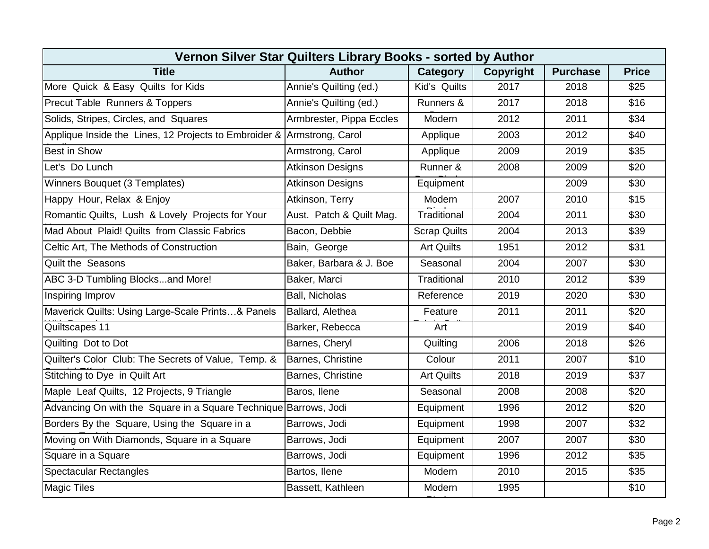| Vernon Silver Star Quilters Library Books - sorted by Author     |                          |                     |                  |                 |              |  |  |  |
|------------------------------------------------------------------|--------------------------|---------------------|------------------|-----------------|--------------|--|--|--|
| <b>Title</b>                                                     | <b>Author</b>            | Category            | <b>Copyright</b> | <b>Purchase</b> | <b>Price</b> |  |  |  |
| More Quick & Easy Quilts for Kids                                | Annie's Quilting (ed.)   | Kid's Quilts        | 2017             | 2018            | \$25         |  |  |  |
| Precut Table Runners & Toppers                                   | Annie's Quilting (ed.)   | Runners &           | 2017             | 2018            | \$16         |  |  |  |
| Solids, Stripes, Circles, and Squares                            | Armbrester, Pippa Eccles | Modern              | 2012             | 2011            | \$34         |  |  |  |
| Applique Inside the Lines, 12 Projects to Embroider &            | Armstrong, Carol         | Applique            | 2003             | 2012            | \$40         |  |  |  |
| <b>Best in Show</b>                                              | Armstrong, Carol         | Applique            | 2009             | 2019            | \$35         |  |  |  |
| Let's Do Lunch                                                   | <b>Atkinson Designs</b>  | Runner &            | 2008             | 2009            | \$20         |  |  |  |
| Winners Bouquet (3 Templates)                                    | <b>Atkinson Designs</b>  | Equipment           |                  | 2009            | \$30         |  |  |  |
| Happy Hour, Relax & Enjoy                                        | Atkinson, Terry          | Modern              | 2007             | 2010            | \$15         |  |  |  |
| Romantic Quilts, Lush & Lovely Projects for Your                 | Aust. Patch & Quilt Mag. | Traditional         | 2004             | 2011            | \$30         |  |  |  |
| Mad About Plaid! Quilts from Classic Fabrics                     | Bacon, Debbie            | <b>Scrap Quilts</b> | 2004             | 2013            | \$39         |  |  |  |
| Celtic Art, The Methods of Construction                          | Bain, George             | <b>Art Quilts</b>   | 1951             | 2012            | \$31         |  |  |  |
| <b>Quilt the Seasons</b>                                         | Baker, Barbara & J. Boe  | Seasonal            | 2004             | 2007            | \$30         |  |  |  |
| ABC 3-D Tumbling Blocksand More!                                 | Baker, Marci             | Traditional         | 2010             | 2012            | \$39         |  |  |  |
| Inspiring Improv                                                 | <b>Ball, Nicholas</b>    | Reference           | 2019             | 2020            | \$30         |  |  |  |
| Maverick Quilts: Using Large-Scale Prints& Panels                | Ballard, Alethea         | Feature             | 2011             | 2011            | \$20         |  |  |  |
| Quiltscapes 11                                                   | Barker, Rebecca          | Art                 |                  | 2019            | \$40         |  |  |  |
| Quilting Dot to Dot                                              | Barnes, Cheryl           | Quilting            | 2006             | 2018            | \$26         |  |  |  |
| Quilter's Color Club: The Secrets of Value, Temp. &              | Barnes, Christine        | Colour              | 2011             | 2007            | \$10         |  |  |  |
| Stitching to Dye in Quilt Art                                    | Barnes, Christine        | <b>Art Quilts</b>   | 2018             | 2019            | \$37         |  |  |  |
| Maple Leaf Quilts, 12 Projects, 9 Triangle                       | Baros, Ilene             | Seasonal            | 2008             | 2008            | \$20         |  |  |  |
| Advancing On with the Square in a Square Technique Barrows, Jodi |                          | Equipment           | 1996             | 2012            | \$20         |  |  |  |
| Borders By the Square, Using the Square in a                     | Barrows, Jodi            | Equipment           | 1998             | 2007            | \$32         |  |  |  |
| Moving on With Diamonds, Square in a Square                      | Barrows, Jodi            | Equipment           | 2007             | 2007            | \$30         |  |  |  |
| Square in a Square                                               | Barrows, Jodi            | Equipment           | 1996             | 2012            | \$35         |  |  |  |
| <b>Spectacular Rectangles</b>                                    | Bartos, Ilene            | Modern              | 2010             | 2015            | \$35         |  |  |  |
| <b>Magic Tiles</b>                                               | Bassett, Kathleen        | Modern              | 1995             |                 | \$10         |  |  |  |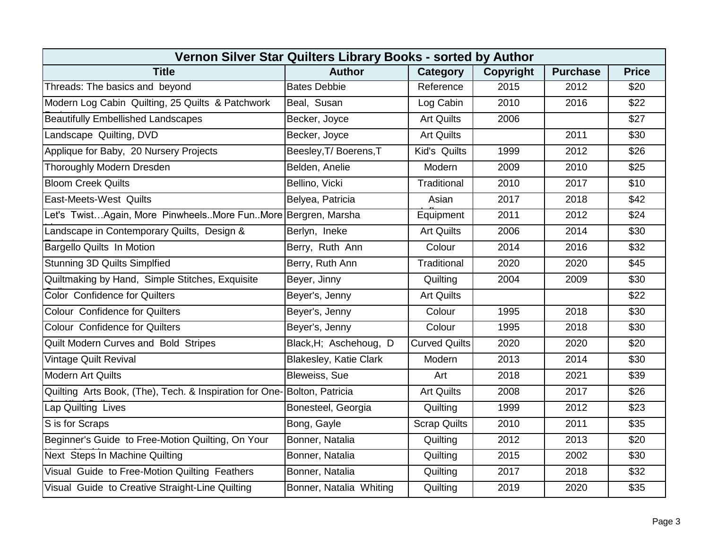| Vernon Silver Star Quilters Library Books - sorted by Author |                               |                      |                  |                 |              |  |  |  |
|--------------------------------------------------------------|-------------------------------|----------------------|------------------|-----------------|--------------|--|--|--|
| <b>Title</b>                                                 | <b>Author</b>                 | Category             | <b>Copyright</b> | <b>Purchase</b> | <b>Price</b> |  |  |  |
| Threads: The basics and beyond                               | <b>Bates Debbie</b>           | Reference            | 2015             | 2012            | \$20         |  |  |  |
| Modern Log Cabin Quilting, 25 Quilts & Patchwork             | Beal, Susan                   | Log Cabin            | 2010             | 2016            | \$22         |  |  |  |
| <b>Beautifully Embellished Landscapes</b>                    | Becker, Joyce                 | <b>Art Quilts</b>    | 2006             |                 | \$27         |  |  |  |
| Landscape Quilting, DVD                                      | Becker, Joyce                 | <b>Art Quilts</b>    |                  | 2011            | \$30         |  |  |  |
| Applique for Baby, 20 Nursery Projects                       | Beesley, T/ Boerens, T        | Kid's Quilts         | 1999             | 2012            | \$26         |  |  |  |
| Thoroughly Modern Dresden                                    | Belden, Anelie                | Modern               | 2009             | 2010            | \$25         |  |  |  |
| <b>Bloom Creek Quilts</b>                                    | Bellino, Vicki                | Traditional          | 2010             | 2017            | \$10         |  |  |  |
| East-Meets-West Quilts                                       | Belyea, Patricia              | Asian                | 2017             | 2018            | \$42         |  |  |  |
| Let's TwistAgain, More PinwheelsMore FunMore Bergren, Marsha |                               | Equipment            | 2011             | 2012            | \$24         |  |  |  |
| Landscape in Contemporary Quilts, Design &                   | Berlyn, Ineke                 | <b>Art Quilts</b>    | 2006             | 2014            | \$30         |  |  |  |
| <b>Bargello Quilts In Motion</b>                             | Berry, Ruth Ann               | Colour               | 2014             | 2016            | \$32         |  |  |  |
| <b>Stunning 3D Quilts Simplfied</b>                          | Berry, Ruth Ann               | Traditional          | 2020             | 2020            | \$45         |  |  |  |
| Quiltmaking by Hand, Simple Stitches, Exquisite              | Beyer, Jinny                  | Quilting             | 2004             | 2009            | \$30         |  |  |  |
| <b>Color Confidence for Quilters</b>                         | Beyer's, Jenny                | <b>Art Quilts</b>    |                  |                 | \$22         |  |  |  |
| <b>Colour Confidence for Quilters</b>                        | Beyer's, Jenny                | Colour               | 1995             | 2018            | \$30         |  |  |  |
| <b>Colour Confidence for Quilters</b>                        | Beyer's, Jenny                | Colour               | 1995             | 2018            | \$30         |  |  |  |
| Quilt Modern Curves and Bold Stripes                         | Black, H; Aschehoug, D        | <b>Curved Quilts</b> | 2020             | 2020            | \$20         |  |  |  |
| Vintage Quilt Revival                                        | <b>Blakesley, Katie Clark</b> | Modern               | 2013             | 2014            | \$30         |  |  |  |
| <b>Modern Art Quilts</b>                                     | Bleweiss, Sue                 | Art                  | 2018             | 2021            | \$39         |  |  |  |
| Quilting Arts Book, (The), Tech. & Inspiration for One-      | Bolton, Patricia              | <b>Art Quilts</b>    | 2008             | 2017            | \$26         |  |  |  |
| Lap Quilting Lives                                           | Bonesteel, Georgia            | Quilting             | 1999             | 2012            | \$23         |  |  |  |
| S is for Scraps                                              | Bong, Gayle                   | <b>Scrap Quilts</b>  | 2010             | 2011            | \$35         |  |  |  |
| Beginner's Guide to Free-Motion Quilting, On Your            | Bonner, Natalia               | Quilting             | 2012             | 2013            | \$20         |  |  |  |
| Next Steps In Machine Quilting                               | Bonner, Natalia               | Quilting             | 2015             | 2002            | \$30         |  |  |  |
| Visual Guide to Free-Motion Quilting Feathers                | Bonner, Natalia               | Quilting             | 2017             | 2018            | \$32         |  |  |  |
| Visual Guide to Creative Straight-Line Quilting              | Bonner, Natalia Whiting       | Quilting             | 2019             | 2020            | \$35         |  |  |  |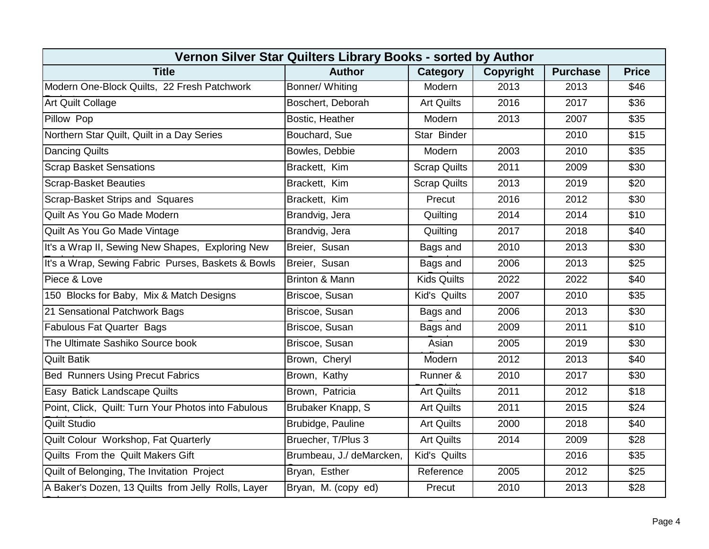| Vernon Silver Star Quilters Library Books - sorted by Author |                          |                     |                  |                 |              |  |  |  |
|--------------------------------------------------------------|--------------------------|---------------------|------------------|-----------------|--------------|--|--|--|
| <b>Title</b>                                                 | <b>Author</b>            | <b>Category</b>     | <b>Copyright</b> | <b>Purchase</b> | <b>Price</b> |  |  |  |
| Modern One-Block Quilts, 22 Fresh Patchwork                  | Bonner/ Whiting          | Modern              | 2013             | 2013            | \$46         |  |  |  |
| <b>Art Quilt Collage</b>                                     | Boschert, Deborah        | <b>Art Quilts</b>   | 2016             | 2017            | \$36         |  |  |  |
| Pillow Pop                                                   | Bostic, Heather          | Modern              | 2013             | 2007            | \$35         |  |  |  |
| Northern Star Quilt, Quilt in a Day Series                   | Bouchard, Sue            | Star Binder         |                  | 2010            | \$15         |  |  |  |
| Dancing Quilts                                               | Bowles, Debbie           | Modern              | 2003             | 2010            | \$35         |  |  |  |
| <b>Scrap Basket Sensations</b>                               | Brackett, Kim            | <b>Scrap Quilts</b> | 2011             | 2009            | \$30         |  |  |  |
| <b>Scrap-Basket Beauties</b>                                 | Brackett, Kim            | <b>Scrap Quilts</b> | 2013             | 2019            | \$20         |  |  |  |
| Scrap-Basket Strips and Squares                              | Brackett, Kim            | Precut              | 2016             | 2012            | \$30         |  |  |  |
| Quilt As You Go Made Modern                                  | Brandvig, Jera           | Quilting            | 2014             | 2014            | \$10         |  |  |  |
| Quilt As You Go Made Vintage                                 | Brandvig, Jera           | Quilting            | 2017             | 2018            | \$40         |  |  |  |
| It's a Wrap II, Sewing New Shapes, Exploring New             | Breier, Susan            | Bags and            | 2010             | 2013            | \$30         |  |  |  |
| It's a Wrap, Sewing Fabric Purses, Baskets & Bowls           | Breier, Susan            | Bags and            | 2006             | 2013            | \$25         |  |  |  |
| Piece & Love                                                 | Brinton & Mann           | <b>Kids Quilts</b>  | 2022             | 2022            | \$40         |  |  |  |
| 150 Blocks for Baby, Mix & Match Designs                     | Briscoe, Susan           | Kid's Quilts        | 2007             | 2010            | \$35         |  |  |  |
| 21 Sensational Patchwork Bags                                | Briscoe, Susan           | Bags and            | 2006             | 2013            | \$30         |  |  |  |
| <b>Fabulous Fat Quarter Bags</b>                             | Briscoe, Susan           | Bags and            | 2009             | 2011            | \$10         |  |  |  |
| The Ultimate Sashiko Source book                             | Briscoe, Susan           | Asian               | 2005             | 2019            | \$30         |  |  |  |
| <b>Quilt Batik</b>                                           | Brown, Cheryl            | Modern              | 2012             | 2013            | \$40         |  |  |  |
| <b>Bed Runners Using Precut Fabrics</b>                      | Brown, Kathy             | Runner &            | 2010             | 2017            | \$30         |  |  |  |
| Easy Batick Landscape Quilts                                 | Brown, Patricia          | <b>Art Quilts</b>   | 2011             | 2012            | \$18         |  |  |  |
| Point, Click, Quilt: Turn Your Photos into Fabulous          | Brubaker Knapp, S        | <b>Art Quilts</b>   | 2011             | 2015            | \$24         |  |  |  |
| <b>Quilt Studio</b>                                          | Brubidge, Pauline        | <b>Art Quilts</b>   | 2000             | 2018            | \$40         |  |  |  |
| Quilt Colour Workshop, Fat Quarterly                         | Bruecher, T/Plus 3       | <b>Art Quilts</b>   | 2014             | 2009            | \$28         |  |  |  |
| Quilts From the Quilt Makers Gift                            | Brumbeau, J./ deMarcken, | Kid's Quilts        |                  | 2016            | \$35         |  |  |  |
| Quilt of Belonging, The Invitation Project                   | Bryan, Esther            | Reference           | 2005             | 2012            | \$25         |  |  |  |
| A Baker's Dozen, 13 Quilts from Jelly Rolls, Layer           | Bryan, M. (copy ed)      | Precut              | 2010             | 2013            | \$28         |  |  |  |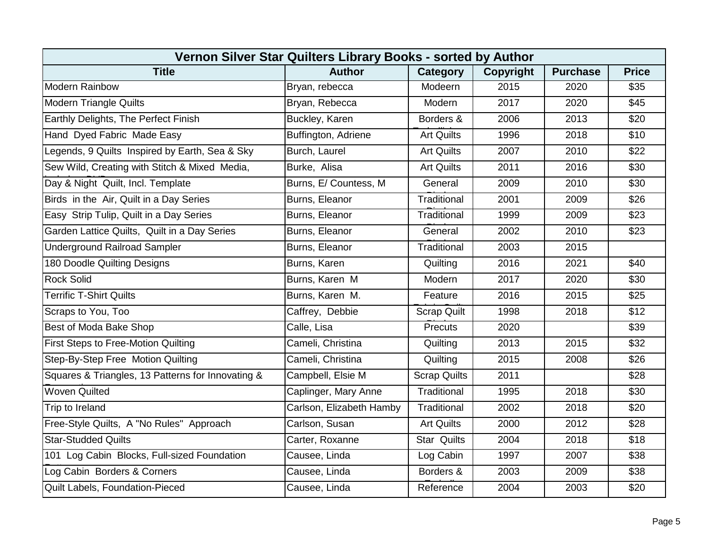| Vernon Silver Star Quilters Library Books - sorted by Author |                          |                     |                  |                 |              |  |  |  |
|--------------------------------------------------------------|--------------------------|---------------------|------------------|-----------------|--------------|--|--|--|
| <b>Title</b>                                                 | <b>Author</b>            | Category            | <b>Copyright</b> | <b>Purchase</b> | <b>Price</b> |  |  |  |
| Modern Rainbow                                               | Bryan, rebecca           | Modeern             | 2015             | 2020            | \$35         |  |  |  |
| <b>Modern Triangle Quilts</b>                                | Bryan, Rebecca           | Modern              | 2017             | 2020            | \$45         |  |  |  |
| Earthly Delights, The Perfect Finish                         | Buckley, Karen           | Borders &           | 2006             | 2013            | \$20         |  |  |  |
| Hand Dyed Fabric Made Easy                                   | Buffington, Adriene      | <b>Art Quilts</b>   | 1996             | 2018            | \$10         |  |  |  |
| Legends, 9 Quilts Inspired by Earth, Sea & Sky               | Burch, Laurel            | <b>Art Quilts</b>   | 2007             | 2010            | \$22         |  |  |  |
| Sew Wild, Creating with Stitch & Mixed Media,                | Burke, Alisa             | <b>Art Quilts</b>   | 2011             | 2016            | \$30         |  |  |  |
| Day & Night Quilt, Incl. Template                            | Burns, E/ Countess, M    | General             | 2009             | 2010            | \$30         |  |  |  |
| Birds in the Air, Quilt in a Day Series                      | Burns, Eleanor           | Traditional         | 2001             | 2009            | \$26         |  |  |  |
| Easy Strip Tulip, Quilt in a Day Series                      | Burns, Eleanor           | Traditional         | 1999             | 2009            | \$23         |  |  |  |
| Garden Lattice Quilts, Quilt in a Day Series                 | Burns, Eleanor           | General             | 2002             | 2010            | \$23         |  |  |  |
| <b>Underground Railroad Sampler</b>                          | Burns, Eleanor           | Traditional         | 2003             | 2015            |              |  |  |  |
| 180 Doodle Quilting Designs                                  | Burns, Karen             | Quilting            | 2016             | 2021            | \$40         |  |  |  |
| <b>Rock Solid</b>                                            | Burns, Karen M           | Modern              | 2017             | 2020            | \$30         |  |  |  |
| <b>Terrific T-Shirt Quilts</b>                               | Burns, Karen M.          | Feature             | 2016             | 2015            | \$25         |  |  |  |
| Scraps to You, Too                                           | Caffrey, Debbie          | <b>Scrap Quilt</b>  | 1998             | 2018            | \$12         |  |  |  |
| Best of Moda Bake Shop                                       | Calle, Lisa              | Precuts             | 2020             |                 | \$39         |  |  |  |
| First Steps to Free-Motion Quilting                          | Cameli, Christina        | Quilting            | 2013             | 2015            | \$32         |  |  |  |
| Step-By-Step Free Motion Quilting                            | Cameli, Christina        | Quilting            | 2015             | 2008            | \$26         |  |  |  |
| Squares & Triangles, 13 Patterns for Innovating &            | Campbell, Elsie M        | <b>Scrap Quilts</b> | 2011             |                 | \$28         |  |  |  |
| <b>Woven Quilted</b>                                         | Caplinger, Mary Anne     | Traditional         | 1995             | 2018            | \$30         |  |  |  |
| Trip to Ireland                                              | Carlson, Elizabeth Hamby | Traditional         | 2002             | 2018            | \$20         |  |  |  |
| Free-Style Quilts, A "No Rules" Approach                     | Carlson, Susan           | <b>Art Quilts</b>   | 2000             | 2012            | \$28         |  |  |  |
| <b>Star-Studded Quilts</b>                                   | Carter, Roxanne          | <b>Star Quilts</b>  | 2004             | 2018            | \$18         |  |  |  |
| 101 Log Cabin Blocks, Full-sized Foundation                  | Causee, Linda            | Log Cabin           | 1997             | 2007            | \$38         |  |  |  |
| Log Cabin Borders & Corners                                  | Causee, Linda            | Borders &           | 2003             | 2009            | \$38         |  |  |  |
| Quilt Labels, Foundation-Pieced                              | Causee, Linda            | Reference           | 2004             | 2003            | \$20         |  |  |  |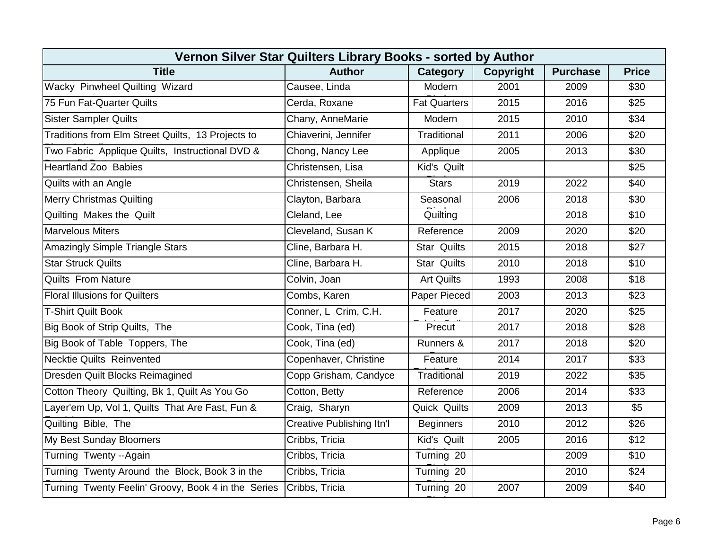| Vernon Silver Star Quilters Library Books - sorted by Author |                                  |                     |                  |                 |              |  |  |  |
|--------------------------------------------------------------|----------------------------------|---------------------|------------------|-----------------|--------------|--|--|--|
| <b>Title</b>                                                 | <b>Author</b>                    | <b>Category</b>     | <b>Copyright</b> | <b>Purchase</b> | <b>Price</b> |  |  |  |
| Wacky Pinwheel Quilting Wizard                               | Causee, Linda                    | Modern              | 2001             | 2009            | \$30         |  |  |  |
| 75 Fun Fat-Quarter Quilts                                    | Cerda, Roxane                    | <b>Fat Quarters</b> | 2015             | 2016            | \$25         |  |  |  |
| <b>Sister Sampler Quilts</b>                                 | Chany, AnneMarie                 | Modern              | 2015             | 2010            | \$34         |  |  |  |
| Traditions from Elm Street Quilts, 13 Projects to            | Chiaverini, Jennifer             | Traditional         | 2011             | 2006            | \$20         |  |  |  |
| Two Fabric Applique Quilts, Instructional DVD &              | Chong, Nancy Lee                 | Applique            | 2005             | 2013            | \$30         |  |  |  |
| <b>Heartland Zoo Babies</b>                                  | Christensen, Lisa                | Kid's Quilt         |                  |                 | \$25         |  |  |  |
| Quilts with an Angle                                         | Christensen, Sheila              | <b>Stars</b>        | 2019             | 2022            | \$40         |  |  |  |
| <b>Merry Christmas Quilting</b>                              | Clayton, Barbara                 | Seasonal            | 2006             | 2018            | \$30         |  |  |  |
| Quilting Makes the Quilt                                     | Cleland, Lee                     | Quilting            |                  | 2018            | \$10         |  |  |  |
| <b>Marvelous Miters</b>                                      | Cleveland, Susan K               | Reference           | 2009             | 2020            | \$20         |  |  |  |
| <b>Amazingly Simple Triangle Stars</b>                       | Cline, Barbara H.                | <b>Star Quilts</b>  | 2015             | 2018            | \$27         |  |  |  |
| <b>Star Struck Quilts</b>                                    | Cline, Barbara H.                | <b>Star Quilts</b>  | 2010             | 2018            | \$10         |  |  |  |
| <b>Quilts From Nature</b>                                    | Colvin, Joan                     | <b>Art Quilts</b>   | 1993             | 2008            | \$18         |  |  |  |
| <b>Floral Illusions for Quilters</b>                         | Combs, Karen                     | Paper Pieced        | 2003             | 2013            | \$23         |  |  |  |
| <b>T-Shirt Quilt Book</b>                                    | Conner, L Crim, C.H.             | Feature             | 2017             | 2020            | \$25         |  |  |  |
| Big Book of Strip Quilts, The                                | Cook, Tina (ed)                  | Precut              | 2017             | 2018            | \$28         |  |  |  |
| Big Book of Table Toppers, The                               | Cook, Tina (ed)                  | Runners &           | 2017             | 2018            | \$20         |  |  |  |
| <b>Necktie Quilts Reinvented</b>                             | Copenhaver, Christine            | Feature             | 2014             | 2017            | \$33         |  |  |  |
| Dresden Quilt Blocks Reimagined                              | Copp Grisham, Candyce            | Traditional         | 2019             | 2022            | \$35         |  |  |  |
| Cotton Theory Quilting, Bk 1, Quilt As You Go                | Cotton, Betty                    | Reference           | 2006             | 2014            | \$33         |  |  |  |
| Layer'em Up, Vol 1, Quilts That Are Fast, Fun &              | Craig, Sharyn                    | Quick Quilts        | 2009             | 2013            | \$5          |  |  |  |
| Quilting Bible, The                                          | <b>Creative Publishing Itn'l</b> | <b>Beginners</b>    | 2010             | 2012            | \$26         |  |  |  |
| My Best Sunday Bloomers                                      | Cribbs, Tricia                   | Kid's Quilt         | 2005             | 2016            | \$12         |  |  |  |
| Turning Twenty --Again                                       | Cribbs, Tricia                   | Turning 20          |                  | 2009            | \$10         |  |  |  |
| Turning Twenty Around the Block, Book 3 in the               | Cribbs, Tricia                   | Turning 20          |                  | 2010            | \$24         |  |  |  |
| Turning Twenty Feelin' Groovy, Book 4 in the Series          | Cribbs, Tricia                   | Turning 20          | 2007             | 2009            | \$40         |  |  |  |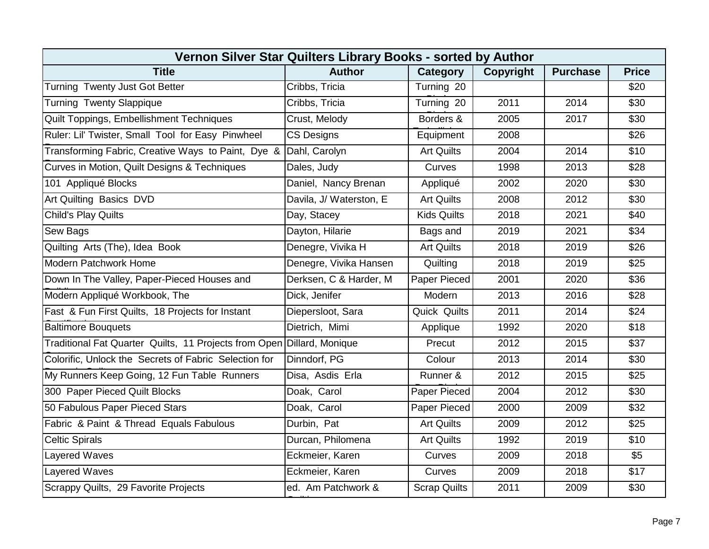| Vernon Silver Star Quilters Library Books - sorted by Author |                          |                     |                  |                 |              |  |  |  |
|--------------------------------------------------------------|--------------------------|---------------------|------------------|-----------------|--------------|--|--|--|
| <b>Title</b>                                                 | <b>Author</b>            | Category            | <b>Copyright</b> | <b>Purchase</b> | <b>Price</b> |  |  |  |
| Turning Twenty Just Got Better                               | Cribbs, Tricia           | Turning 20          |                  |                 | \$20         |  |  |  |
| <b>Turning Twenty Slappique</b>                              | Cribbs, Tricia           | Turning 20          | 2011             | 2014            | \$30         |  |  |  |
| Quilt Toppings, Embellishment Techniques                     | Crust, Melody            | Borders &           | 2005             | 2017            | \$30         |  |  |  |
| Ruler: Lil' Twister, Small Tool for Easy Pinwheel            | <b>CS Designs</b>        | Equipment           | 2008             |                 | \$26         |  |  |  |
| Transforming Fabric, Creative Ways to Paint, Dye &           | Dahl, Carolyn            | <b>Art Quilts</b>   | 2004             | 2014            | \$10         |  |  |  |
| Curves in Motion, Quilt Designs & Techniques                 | Dales, Judy              | Curves              | 1998             | 2013            | \$28         |  |  |  |
| 101 Appliqué Blocks                                          | Daniel, Nancy Brenan     | Appliqué            | 2002             | 2020            | \$30         |  |  |  |
| Art Quilting Basics DVD                                      | Davila, J/ Waterston, E. | <b>Art Quilts</b>   | 2008             | 2012            | \$30         |  |  |  |
| <b>Child's Play Quilts</b>                                   | Day, Stacey              | <b>Kids Quilts</b>  | 2018             | 2021            | \$40         |  |  |  |
| <b>Sew Bags</b>                                              | Dayton, Hilarie          | Bags and            | 2019             | 2021            | \$34         |  |  |  |
| Quilting Arts (The), Idea Book                               | Denegre, Vivika H        | <b>Art Quilts</b>   | 2018             | 2019            | \$26         |  |  |  |
| Modern Patchwork Home                                        | Denegre, Vivika Hansen   | Quilting            | 2018             | 2019            | \$25         |  |  |  |
| Down In The Valley, Paper-Pieced Houses and                  | Derksen, C & Harder, M   | Paper Pieced        | 2001             | 2020            | \$36         |  |  |  |
| Modern Appliqué Workbook, The                                | Dick, Jenifer            | Modern              | 2013             | 2016            | \$28         |  |  |  |
| Fast & Fun First Quilts, 18 Projects for Instant             | Diepersloot, Sara        | Quick Quilts        | 2011             | 2014            | \$24         |  |  |  |
| <b>Baltimore Bouquets</b>                                    | Dietrich, Mimi           | Applique            | 1992             | 2020            | \$18         |  |  |  |
| Traditional Fat Quarter Quilts, 11 Projects from Open        | Dillard, Monique         | Precut              | 2012             | 2015            | \$37         |  |  |  |
| Colorific, Unlock the Secrets of Fabric Selection for        | Dinndorf, PG             | Colour              | 2013             | 2014            | \$30         |  |  |  |
| My Runners Keep Going, 12 Fun Table Runners                  | Disa, Asdis Erla         | Runner &            | 2012             | 2015            | \$25         |  |  |  |
| 300 Paper Pieced Quilt Blocks                                | Doak, Carol              | Paper Pieced        | 2004             | 2012            | \$30         |  |  |  |
| 50 Fabulous Paper Pieced Stars                               | Doak, Carol              | Paper Pieced        | 2000             | 2009            | \$32         |  |  |  |
| Fabric & Paint & Thread Equals Fabulous                      | Durbin, Pat              | <b>Art Quilts</b>   | 2009             | 2012            | \$25         |  |  |  |
| <b>Celtic Spirals</b>                                        | Durcan, Philomena        | <b>Art Quilts</b>   | 1992             | 2019            | \$10         |  |  |  |
| Layered Waves                                                | Eckmeier, Karen          | Curves              | 2009             | 2018            | \$5          |  |  |  |
| Layered Waves                                                | Eckmeier, Karen          | Curves              | 2009             | 2018            | \$17         |  |  |  |
| Scrappy Quilts, 29 Favorite Projects                         | ed. Am Patchwork &       | <b>Scrap Quilts</b> | 2011             | 2009            | \$30         |  |  |  |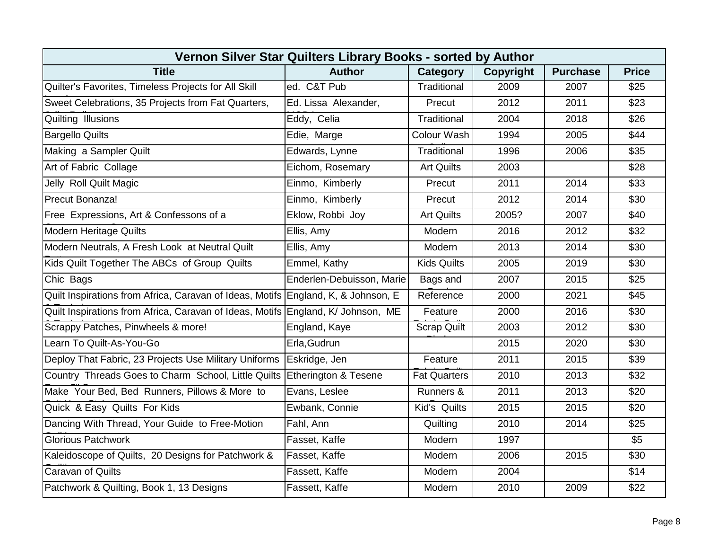| Vernon Silver Star Quilters Library Books - sorted by Author                      |                           |                     |                  |                 |                  |  |  |  |
|-----------------------------------------------------------------------------------|---------------------------|---------------------|------------------|-----------------|------------------|--|--|--|
| <b>Title</b>                                                                      | <b>Author</b>             | Category            | <b>Copyright</b> | <b>Purchase</b> | <b>Price</b>     |  |  |  |
| Quilter's Favorites, Timeless Projects for All Skill                              | ed. C&T Pub               | Traditional         | 2009             | 2007            | \$25             |  |  |  |
| Sweet Celebrations, 35 Projects from Fat Quarters,                                | Ed. Lissa Alexander,      | Precut              | 2012             | 2011            | \$23             |  |  |  |
| Quilting Illusions                                                                | Eddy, Celia               | Traditional         | 2004             | 2018            | \$26             |  |  |  |
| <b>Bargello Quilts</b>                                                            | Edie, Marge               | Colour Wash         | 1994             | 2005            | \$44             |  |  |  |
| Making a Sampler Quilt                                                            | Edwards, Lynne            | Traditional         | 1996             | 2006            | \$35             |  |  |  |
| Art of Fabric Collage                                                             | Eichom, Rosemary          | <b>Art Quilts</b>   | 2003             |                 | \$28             |  |  |  |
| Jelly Roll Quilt Magic                                                            | Einmo, Kimberly           | Precut              | 2011             | 2014            | $\overline{$33}$ |  |  |  |
| Precut Bonanza!                                                                   | Einmo, Kimberly           | Precut              | 2012             | 2014            | \$30             |  |  |  |
| Free Expressions, Art & Confessons of a                                           | Eklow, Robbi Joy          | <b>Art Quilts</b>   | 2005?            | 2007            | \$40             |  |  |  |
| <b>Modern Heritage Quilts</b>                                                     | Ellis, Amy                | Modern              | 2016             | 2012            | \$32             |  |  |  |
| Modern Neutrals, A Fresh Look at Neutral Quilt                                    | Ellis, Amy                | Modern              | 2013             | 2014            | \$30             |  |  |  |
| Kids Quilt Together The ABCs of Group Quilts                                      | Emmel, Kathy              | <b>Kids Quilts</b>  | 2005             | 2019            | \$30             |  |  |  |
| Chic Bags                                                                         | Enderlen-Debuisson, Marie | Bags and            | 2007             | 2015            | $\overline{$25}$ |  |  |  |
| Quilt Inspirations from Africa, Caravan of Ideas, Motifs England, K, & Johnson, E |                           | Reference           | 2000             | 2021            | \$45             |  |  |  |
| Quilt Inspirations from Africa, Caravan of Ideas, Motifs England, K/ Johnson, ME  |                           | Feature             | 2000             | 2016            | \$30             |  |  |  |
| Scrappy Patches, Pinwheels & more!                                                | England, Kaye             | <b>Scrap Quilt</b>  | 2003             | 2012            | \$30             |  |  |  |
| Learn To Quilt-As-You-Go                                                          | Erla, Gudrun              |                     | 2015             | 2020            | \$30             |  |  |  |
| Deploy That Fabric, 23 Projects Use Military Uniforms                             | Eskridge, Jen             | Feature             | 2011             | 2015            | \$39             |  |  |  |
| Country Threads Goes to Charm School, Little Quilts Etherington & Tesene          |                           | <b>Fat Quarters</b> | 2010             | 2013            | \$32             |  |  |  |
| Make Your Bed, Bed Runners, Pillows & More to                                     | Evans, Leslee             | Runners &           | 2011             | 2013            | \$20             |  |  |  |
| Quick & Easy Quilts For Kids                                                      | Ewbank, Connie            | Kid's Quilts        | 2015             | 2015            | \$20             |  |  |  |
| Dancing With Thread, Your Guide to Free-Motion                                    | Fahl, Ann                 | Quilting            | 2010             | 2014            | \$25             |  |  |  |
| <b>Glorious Patchwork</b>                                                         | Fasset, Kaffe             | Modern              | 1997             |                 | \$5              |  |  |  |
| Kaleidoscope of Quilts, 20 Designs for Patchwork &                                | Fasset, Kaffe             | Modern              | 2006             | 2015            | \$30             |  |  |  |
| Caravan of Quilts                                                                 | Fassett, Kaffe            | Modern              | 2004             |                 | \$14             |  |  |  |
| Patchwork & Quilting, Book 1, 13 Designs                                          | Fassett, Kaffe            | Modern              | 2010             | 2009            | \$22             |  |  |  |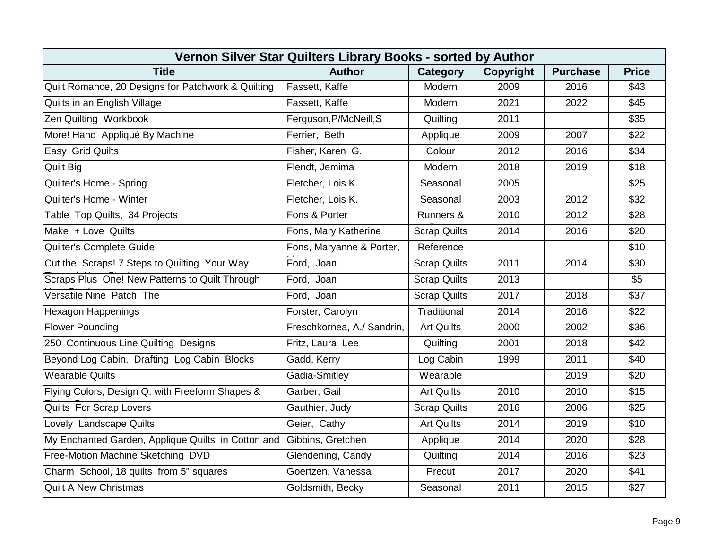| Vernon Silver Star Quilters Library Books - sorted by Author |                            |                     |                  |                 |                  |  |  |  |
|--------------------------------------------------------------|----------------------------|---------------------|------------------|-----------------|------------------|--|--|--|
| <b>Title</b>                                                 | <b>Author</b>              | Category            | <b>Copyright</b> | <b>Purchase</b> | <b>Price</b>     |  |  |  |
| Quilt Romance, 20 Designs for Patchwork & Quilting           | Fassett, Kaffe             | Modern              | 2009             | 2016            | \$43             |  |  |  |
| Quilts in an English Village                                 | Fassett, Kaffe             | Modern              | 2021             | 2022            | \$45             |  |  |  |
| Zen Quilting Workbook                                        | Ferguson, P/McNeill, S     | Quilting            | 2011             |                 | \$35             |  |  |  |
| More! Hand Appliqué By Machine                               | Ferrier, Beth              | Applique            | 2009             | 2007            | \$22             |  |  |  |
| Easy Grid Quilts                                             | Fisher, Karen G.           | Colour              | 2012             | 2016            | \$34             |  |  |  |
| <b>Quilt Big</b>                                             | Flendt, Jemima             | Modern              | 2018             | 2019            | \$18             |  |  |  |
| Quilter's Home - Spring                                      | Fletcher, Lois K.          | Seasonal            | 2005             |                 | $\overline{$25}$ |  |  |  |
| Quilter's Home - Winter                                      | Fletcher, Lois K.          | Seasonal            | 2003             | 2012            | \$32             |  |  |  |
| Table Top Quilts, 34 Projects                                | Fons & Porter              | Runners &           | 2010             | 2012            | \$28             |  |  |  |
| Make + Love Quilts                                           | Fons, Mary Katherine       | <b>Scrap Quilts</b> | 2014             | 2016            | \$20             |  |  |  |
| Quilter's Complete Guide                                     | Fons, Maryanne & Porter,   | Reference           |                  |                 | \$10             |  |  |  |
| Cut the Scraps! 7 Steps to Quilting Your Way                 | Ford, Joan                 | <b>Scrap Quilts</b> | 2011             | 2014            | \$30             |  |  |  |
| Scraps Plus One! New Patterns to Quilt Through               | Ford, Joan                 | <b>Scrap Quilts</b> | 2013             |                 | $\overline{\$5}$ |  |  |  |
| Versatile Nine Patch, The                                    | Ford, Joan                 | <b>Scrap Quilts</b> | 2017             | 2018            | \$37             |  |  |  |
| <b>Hexagon Happenings</b>                                    | Forster, Carolyn           | Traditional         | 2014             | 2016            | \$22             |  |  |  |
| <b>Flower Pounding</b>                                       | Freschkornea, A./ Sandrin, | <b>Art Quilts</b>   | 2000             | 2002            | \$36             |  |  |  |
| 250 Continuous Line Quilting Designs                         | Fritz, Laura Lee           | Quilting            | 2001             | 2018            | \$42             |  |  |  |
| Beyond Log Cabin, Drafting Log Cabin Blocks                  | Gadd, Kerry                | Log Cabin           | 1999             | 2011            | \$40             |  |  |  |
| <b>Wearable Quilts</b>                                       | Gadia-Smitley              | Wearable            |                  | 2019            | \$20             |  |  |  |
| Flying Colors, Design Q. with Freeform Shapes &              | Garber, Gail               | <b>Art Quilts</b>   | 2010             | 2010            | \$15             |  |  |  |
| Quilts For Scrap Lovers                                      | Gauthier, Judy             | <b>Scrap Quilts</b> | 2016             | 2006            | \$25             |  |  |  |
| Lovely Landscape Quilts                                      | Geier, Cathy               | <b>Art Quilts</b>   | 2014             | 2019            | \$10             |  |  |  |
| My Enchanted Garden, Applique Quilts in Cotton and           | Gibbins, Gretchen          | Applique            | 2014             | 2020            | \$28             |  |  |  |
| Free-Motion Machine Sketching DVD                            | Glendening, Candy          | Quilting            | 2014             | 2016            | \$23             |  |  |  |
| Charm School, 18 quilts from 5" squares                      | Goertzen, Vanessa          | Precut              | 2017             | 2020            | \$41             |  |  |  |
| <b>Quilt A New Christmas</b>                                 | Goldsmith, Becky           | Seasonal            | 2011             | 2015            | \$27             |  |  |  |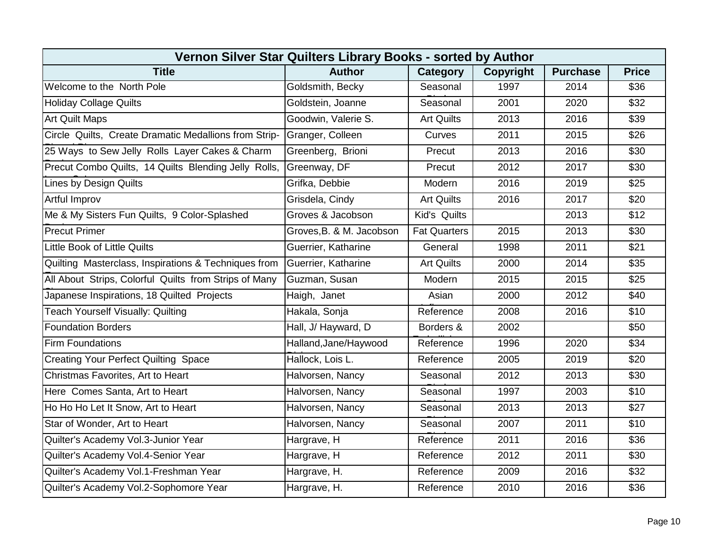| Vernon Silver Star Quilters Library Books - sorted by Author |                          |                     |                  |                 |                  |  |  |  |
|--------------------------------------------------------------|--------------------------|---------------------|------------------|-----------------|------------------|--|--|--|
| <b>Title</b>                                                 | <b>Author</b>            | Category            | <b>Copyright</b> | <b>Purchase</b> | <b>Price</b>     |  |  |  |
| Welcome to the North Pole                                    | Goldsmith, Becky         | Seasonal            | 1997             | 2014            | \$36             |  |  |  |
| <b>Holiday Collage Quilts</b>                                | Goldstein, Joanne        | Seasonal            | 2001             | 2020            | \$32             |  |  |  |
| <b>Art Quilt Maps</b>                                        | Goodwin, Valerie S.      | <b>Art Quilts</b>   | 2013             | 2016            | \$39             |  |  |  |
| Circle Quilts, Create Dramatic Medallions from Strip-        | Granger, Colleen         | Curves              | 2011             | 2015            | \$26             |  |  |  |
| 25 Ways to Sew Jelly Rolls Layer Cakes & Charm               | Greenberg, Brioni        | Precut              | 2013             | 2016            | \$30             |  |  |  |
| Precut Combo Quilts, 14 Quilts Blending Jelly Rolls,         | Greenway, DF             | Precut              | 2012             | 2017            | \$30             |  |  |  |
| <b>Lines by Design Quilts</b>                                | Grifka, Debbie           | Modern              | 2016             | 2019            | $\overline{$25}$ |  |  |  |
| <b>Artful Improv</b>                                         | Grisdela, Cindy          | <b>Art Quilts</b>   | 2016             | 2017            | \$20             |  |  |  |
| Me & My Sisters Fun Quilts, 9 Color-Splashed                 | Groves & Jacobson        | Kid's Quilts        |                  | 2013            | \$12             |  |  |  |
| <b>Precut Primer</b>                                         | Groves, B. & M. Jacobson | <b>Fat Quarters</b> | 2015             | 2013            | \$30             |  |  |  |
| Little Book of Little Quilts                                 | Guerrier, Katharine      | General             | 1998             | 2011            | \$21             |  |  |  |
| Quilting Masterclass, Inspirations & Techniques from         | Guerrier, Katharine      | <b>Art Quilts</b>   | 2000             | 2014            | \$35             |  |  |  |
| All About Strips, Colorful Quilts from Strips of Many        | Guzman, Susan            | Modern              | 2015             | 2015            | \$25             |  |  |  |
| Japanese Inspirations, 18 Quilted Projects                   | Haigh, Janet             | Asian               | 2000             | 2012            | \$40             |  |  |  |
| Teach Yourself Visually: Quilting                            | Hakala, Sonja            | Reference           | 2008             | 2016            | \$10             |  |  |  |
| <b>Foundation Borders</b>                                    | Hall, J/ Hayward, D      | Borders &           | 2002             |                 | \$50             |  |  |  |
| <b>Firm Foundations</b>                                      | Halland, Jane/Haywood    | Reference           | 1996             | 2020            | \$34             |  |  |  |
| <b>Creating Your Perfect Quilting Space</b>                  | Hallock, Lois L.         | Reference           | 2005             | 2019            | \$20             |  |  |  |
| Christmas Favorites, Art to Heart                            | Halvorsen, Nancy         | Seasonal            | 2012             | 2013            | \$30             |  |  |  |
| Here Comes Santa, Art to Heart                               | Halvorsen, Nancy         | Seasonal            | 1997             | 2003            | \$10             |  |  |  |
| Ho Ho Ho Let It Snow, Art to Heart                           | Halvorsen, Nancy         | Seasonal            | 2013             | 2013            | \$27             |  |  |  |
| Star of Wonder, Art to Heart                                 | Halvorsen, Nancy         | Seasonal            | 2007             | 2011            | \$10             |  |  |  |
| Quilter's Academy Vol.3-Junior Year                          | Hargrave, H              | Reference           | 2011             | 2016            | \$36             |  |  |  |
| Quilter's Academy Vol.4-Senior Year                          | Hargrave, H              | Reference           | 2012             | 2011            | \$30             |  |  |  |
| Quilter's Academy Vol.1-Freshman Year                        | Hargrave, H.             | Reference           | 2009             | 2016            | \$32             |  |  |  |
| Quilter's Academy Vol.2-Sophomore Year                       | Hargrave, H.             | Reference           | 2010             | 2016            | \$36             |  |  |  |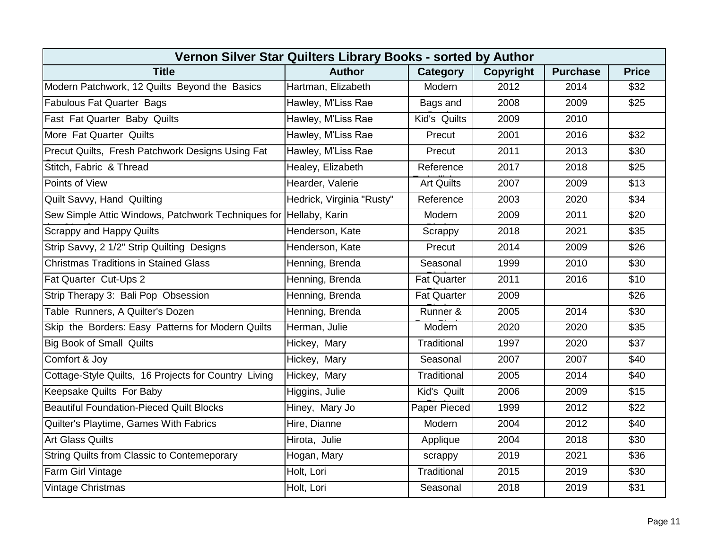| Vernon Silver Star Quilters Library Books - sorted by Author      |                           |                    |                  |                 |                  |  |  |  |
|-------------------------------------------------------------------|---------------------------|--------------------|------------------|-----------------|------------------|--|--|--|
| <b>Title</b>                                                      | <b>Author</b>             | Category           | <b>Copyright</b> | <b>Purchase</b> | <b>Price</b>     |  |  |  |
| Modern Patchwork, 12 Quilts Beyond the Basics                     | Hartman, Elizabeth        | Modern             | 2012             | 2014            | \$32             |  |  |  |
| <b>Fabulous Fat Quarter Bags</b>                                  | Hawley, M'Liss Rae        | Bags and           | 2008             | 2009            | \$25             |  |  |  |
| Fast Fat Quarter Baby Quilts                                      | Hawley, M'Liss Rae        | Kid's Quilts       | 2009             | 2010            |                  |  |  |  |
| More Fat Quarter Quilts                                           | Hawley, M'Liss Rae        | Precut             | 2001             | 2016            | \$32             |  |  |  |
| Precut Quilts, Fresh Patchwork Designs Using Fat                  | Hawley, M'Liss Rae        | Precut             | 2011             | 2013            | \$30             |  |  |  |
| Stitch, Fabric & Thread                                           | Healey, Elizabeth         | Reference          | 2017             | 2018            | \$25             |  |  |  |
| Points of View                                                    | Hearder, Valerie          | <b>Art Quilts</b>  | 2007             | 2009            | $\overline{$13}$ |  |  |  |
| Quilt Savvy, Hand Quilting                                        | Hedrick, Virginia "Rusty" | Reference          | 2003             | 2020            | \$34             |  |  |  |
| Sew Simple Attic Windows, Patchwork Techniques for Hellaby, Karin |                           | Modern             | 2009             | 2011            | \$20             |  |  |  |
| <b>Scrappy and Happy Quilts</b>                                   | Henderson, Kate           | Scrappy            | 2018             | 2021            | \$35             |  |  |  |
| Strip Savvy, 2 1/2" Strip Quilting Designs                        | Henderson, Kate           | Precut             | 2014             | 2009            | \$26             |  |  |  |
| <b>Christmas Traditions in Stained Glass</b>                      | Henning, Brenda           | Seasonal           | 1999             | 2010            | \$30             |  |  |  |
| Fat Quarter Cut-Ups 2                                             | Henning, Brenda           | <b>Fat Quarter</b> | 2011             | 2016            | \$10             |  |  |  |
| Strip Therapy 3: Bali Pop Obsession                               | Henning, Brenda           | <b>Fat Quarter</b> | 2009             |                 | \$26             |  |  |  |
| Table Runners, A Quilter's Dozen                                  | Henning, Brenda           | Runner &           | 2005             | 2014            | \$30             |  |  |  |
| Skip the Borders: Easy Patterns for Modern Quilts                 | Herman, Julie             | Modern             | 2020             | 2020            | \$35             |  |  |  |
| <b>Big Book of Small Quilts</b>                                   | Hickey, Mary              | Traditional        | 1997             | 2020            | \$37             |  |  |  |
| Comfort & Joy                                                     | Hickey, Mary              | Seasonal           | 2007             | 2007            | \$40             |  |  |  |
| Cottage-Style Quilts, 16 Projects for Country Living              | Hickey, Mary              | Traditional        | 2005             | 2014            | \$40             |  |  |  |
| Keepsake Quilts For Baby                                          | Higgins, Julie            | Kid's Quilt        | 2006             | 2009            | \$15             |  |  |  |
| <b>Beautiful Foundation-Pieced Quilt Blocks</b>                   | Hiney, Mary Jo            | Paper Pieced       | 1999             | 2012            | \$22             |  |  |  |
| Quilter's Playtime, Games With Fabrics                            | Hire, Dianne              | Modern             | 2004             | 2012            | \$40             |  |  |  |
| <b>Art Glass Quilts</b>                                           | Hirota, Julie             | Applique           | 2004             | 2018            | \$30             |  |  |  |
| String Quilts from Classic to Contemeporary                       | Hogan, Mary               | scrappy            | 2019             | 2021            | \$36             |  |  |  |
| Farm Girl Vintage                                                 | Holt, Lori                | Traditional        | 2015             | 2019            | \$30             |  |  |  |
| <b>Vintage Christmas</b>                                          | Holt, Lori                | Seasonal           | 2018             | 2019            | \$31             |  |  |  |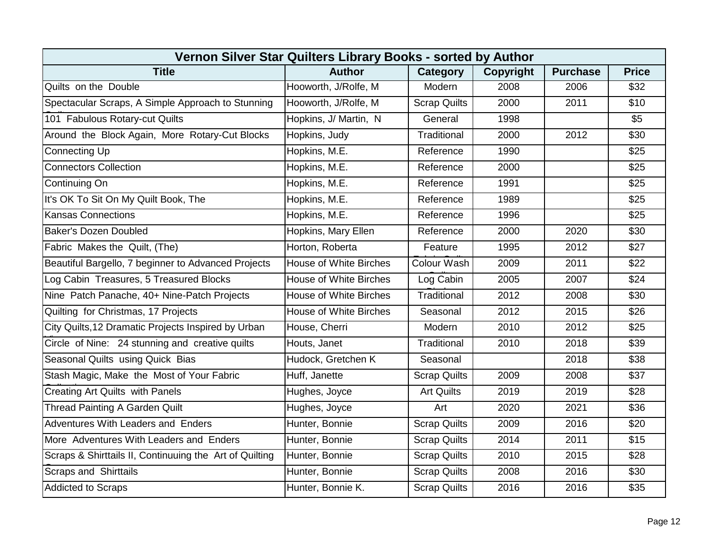| Vernon Silver Star Quilters Library Books - sorted by Author |                               |                     |                  |                 |              |  |  |  |
|--------------------------------------------------------------|-------------------------------|---------------------|------------------|-----------------|--------------|--|--|--|
| <b>Title</b>                                                 | <b>Author</b>                 | Category            | <b>Copyright</b> | <b>Purchase</b> | <b>Price</b> |  |  |  |
| Quilts on the Double                                         | Hooworth, J/Rolfe, M          | Modern              | 2008             | 2006            | \$32         |  |  |  |
| Spectacular Scraps, A Simple Approach to Stunning            | Hooworth, J/Rolfe, M          | <b>Scrap Quilts</b> | 2000             | 2011            | \$10         |  |  |  |
| 101 Fabulous Rotary-cut Quilts                               | Hopkins, J/ Martin, N         | General             | 1998             |                 | \$5          |  |  |  |
| Around the Block Again, More Rotary-Cut Blocks               | Hopkins, Judy                 | Traditional         | 2000             | 2012            | \$30         |  |  |  |
| <b>Connecting Up</b>                                         | Hopkins, M.E.                 | Reference           | 1990             |                 | \$25         |  |  |  |
| <b>Connectors Collection</b>                                 | Hopkins, M.E.                 | Reference           | 2000             |                 | \$25         |  |  |  |
| Continuing On                                                | Hopkins, M.E.                 | Reference           | 1991             |                 | \$25         |  |  |  |
| It's OK To Sit On My Quilt Book, The                         | Hopkins, M.E.                 | Reference           | 1989             |                 | \$25         |  |  |  |
| <b>Kansas Connections</b>                                    | Hopkins, M.E.                 | Reference           | 1996             |                 | \$25         |  |  |  |
| <b>Baker's Dozen Doubled</b>                                 | Hopkins, Mary Ellen           | Reference           | 2000             | 2020            | \$30         |  |  |  |
| Fabric Makes the Quilt, (The)                                | Horton, Roberta               | Feature             | 1995             | 2012            | \$27         |  |  |  |
| Beautiful Bargello, 7 beginner to Advanced Projects          | <b>House of White Birches</b> | <b>Colour Wash</b>  | 2009             | 2011            | \$22         |  |  |  |
| Log Cabin Treasures, 5 Treasured Blocks                      | <b>House of White Birches</b> | Log Cabin           | 2005             | 2007            | \$24         |  |  |  |
| Nine Patch Panache, 40+ Nine-Patch Projects                  | <b>House of White Birches</b> | Traditional         | 2012             | 2008            | \$30         |  |  |  |
| Quilting for Christmas, 17 Projects                          | <b>House of White Birches</b> | Seasonal            | 2012             | 2015            | \$26         |  |  |  |
| City Quilts, 12 Dramatic Projects Inspired by Urban          | House, Cherri                 | Modern              | 2010             | 2012            | \$25         |  |  |  |
| Circle of Nine: 24 stunning and creative quilts              | Houts, Janet                  | Traditional         | 2010             | 2018            | \$39         |  |  |  |
| Seasonal Quilts using Quick Bias                             | Hudock, Gretchen K            | Seasonal            |                  | 2018            | \$38         |  |  |  |
| Stash Magic, Make the Most of Your Fabric                    | Huff, Janette                 | <b>Scrap Quilts</b> | 2009             | 2008            | \$37         |  |  |  |
| <b>Creating Art Quilts with Panels</b>                       | Hughes, Joyce                 | <b>Art Quilts</b>   | 2019             | 2019            | \$28         |  |  |  |
| <b>Thread Painting A Garden Quilt</b>                        | Hughes, Joyce                 | Art                 | 2020             | 2021            | \$36         |  |  |  |
| Adventures With Leaders and Enders                           | Hunter, Bonnie                | <b>Scrap Quilts</b> | 2009             | 2016            | \$20         |  |  |  |
| More Adventures With Leaders and Enders                      | Hunter, Bonnie                | <b>Scrap Quilts</b> | 2014             | 2011            | \$15         |  |  |  |
| Scraps & Shirttails II, Continuuing the Art of Quilting      | Hunter, Bonnie                | <b>Scrap Quilts</b> | 2010             | 2015            | \$28         |  |  |  |
| Scraps and Shirttails                                        | Hunter, Bonnie                | <b>Scrap Quilts</b> | 2008             | 2016            | \$30         |  |  |  |
| <b>Addicted to Scraps</b>                                    | Hunter, Bonnie K.             | <b>Scrap Quilts</b> | 2016             | 2016            | \$35         |  |  |  |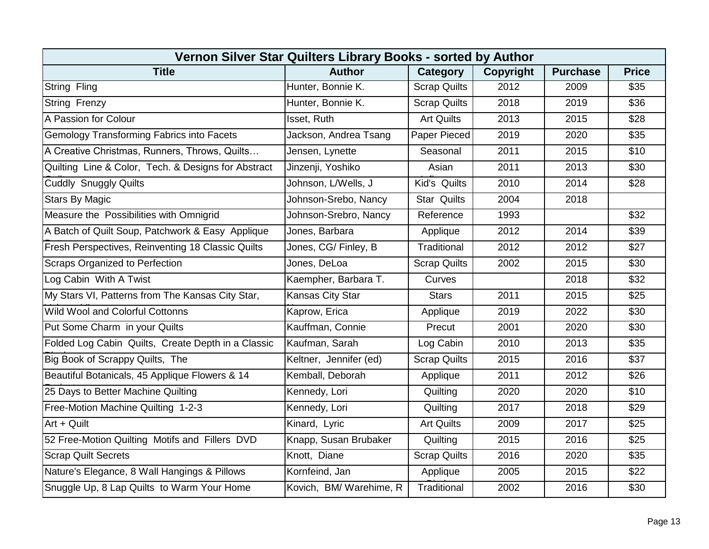| Vernon Silver Star Quilters Library Books - sorted by Author |                         |                     |           |                 |              |  |  |  |
|--------------------------------------------------------------|-------------------------|---------------------|-----------|-----------------|--------------|--|--|--|
| <b>Title</b>                                                 | <b>Author</b>           | Category            | Copyright | <b>Purchase</b> | <b>Price</b> |  |  |  |
| String Fling                                                 | Hunter, Bonnie K.       | <b>Scrap Quilts</b> | 2012      | 2009            | \$35         |  |  |  |
| <b>String Frenzy</b>                                         | Hunter, Bonnie K.       | <b>Scrap Quilts</b> | 2018      | 2019            | \$36         |  |  |  |
| A Passion for Colour                                         | Isset, Ruth             | <b>Art Quilts</b>   | 2013      | 2015            | \$28         |  |  |  |
| <b>Gemology Transforming Fabrics into Facets</b>             | Jackson, Andrea Tsang   | Paper Pieced        | 2019      | 2020            | \$35         |  |  |  |
| A Creative Christmas, Runners, Throws, Quilts                | Jensen, Lynette         | Seasonal            | 2011      | 2015            | \$10         |  |  |  |
| Quilting Line & Color, Tech. & Designs for Abstract          | Jinzenji, Yoshiko       | Asian               | 2011      | 2013            | \$30         |  |  |  |
| Cuddly Snuggly Quilts                                        | Johnson, L/Wells, J     | Kid's Quilts        | 2010      | 2014            | \$28         |  |  |  |
| <b>Stars By Magic</b>                                        | Johnson-Srebo, Nancy    | <b>Star Quilts</b>  | 2004      | 2018            |              |  |  |  |
| Measure the Possibilities with Omnigrid                      | Johnson-Srebro, Nancy   | Reference           | 1993      |                 | \$32         |  |  |  |
| A Batch of Quilt Soup, Patchwork & Easy Applique             | Jones, Barbara          | Applique            | 2012      | 2014            | \$39         |  |  |  |
| Fresh Perspectives, Reinventing 18 Classic Quilts            | Jones, CG/ Finley, B    | Traditional         | 2012      | 2012            | \$27         |  |  |  |
| <b>Scraps Organized to Perfection</b>                        | Jones, DeLoa            | <b>Scrap Quilts</b> | 2002      | 2015            | \$30         |  |  |  |
| Log Cabin With A Twist                                       | Kaempher, Barbara T.    | Curves              |           | 2018            | \$32         |  |  |  |
| My Stars VI, Patterns from The Kansas City Star,             | Kansas City Star        | <b>Stars</b>        | 2011      | 2015            | \$25         |  |  |  |
| <b>Wild Wool and Colorful Cottonns</b>                       | Kaprow, Erica           | Applique            | 2019      | 2022            | \$30         |  |  |  |
| Put Some Charm in your Quilts                                | Kauffman, Connie        | Precut              | 2001      | 2020            | \$30         |  |  |  |
| Folded Log Cabin Quilts, Create Depth in a Classic           | Kaufman, Sarah          | Log Cabin           | 2010      | 2013            | \$35         |  |  |  |
| Big Book of Scrappy Quilts, The                              | Keltner, Jennifer (ed)  | <b>Scrap Quilts</b> | 2015      | 2016            | \$37         |  |  |  |
| Beautiful Botanicals, 45 Applique Flowers & 14               | Kemball, Deborah        | Applique            | 2011      | 2012            | \$26         |  |  |  |
| 25 Days to Better Machine Quilting                           | Kennedy, Lori           | Quilting            | 2020      | 2020            | \$10         |  |  |  |
| Free-Motion Machine Quilting 1-2-3                           | Kennedy, Lori           | Quilting            | 2017      | 2018            | \$29         |  |  |  |
| Art + Quilt                                                  | Kinard, Lyric           | <b>Art Quilts</b>   | 2009      | 2017            | \$25         |  |  |  |
| 52 Free-Motion Quilting Motifs and Fillers DVD               | Knapp, Susan Brubaker   | Quilting            | 2015      | 2016            | \$25         |  |  |  |
| <b>Scrap Quilt Secrets</b>                                   | Knott, Diane            | <b>Scrap Quilts</b> | 2016      | 2020            | \$35         |  |  |  |
| Nature's Elegance, 8 Wall Hangings & Pillows                 | Kornfeind, Jan          | Applique            | 2005      | 2015            | \$22         |  |  |  |
| Snuggle Up, 8 Lap Quilts to Warm Your Home                   | Kovich, BM/ Warehime, R | Traditional         | 2002      | 2016            | \$30         |  |  |  |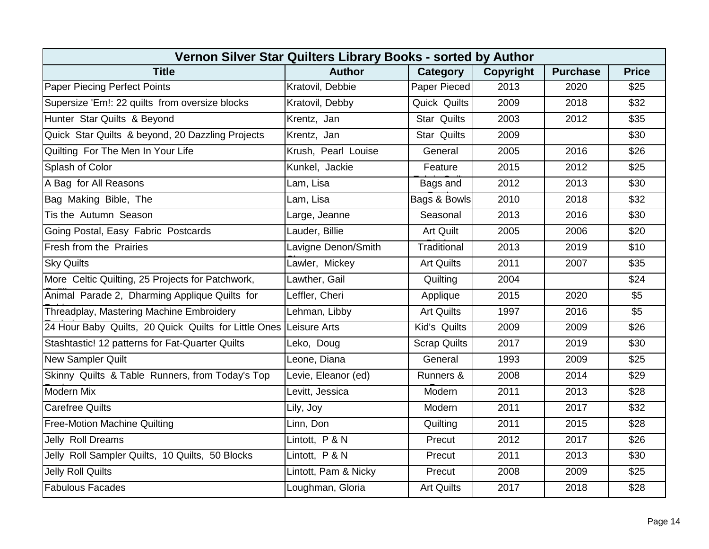| Vernon Silver Star Quilters Library Books - sorted by Author      |                      |                     |                  |                 |              |  |  |  |
|-------------------------------------------------------------------|----------------------|---------------------|------------------|-----------------|--------------|--|--|--|
| <b>Title</b>                                                      | <b>Author</b>        | <b>Category</b>     | <b>Copyright</b> | <b>Purchase</b> | <b>Price</b> |  |  |  |
| <b>Paper Piecing Perfect Points</b>                               | Kratovil, Debbie     | Paper Pieced        | 2013             | 2020            | \$25         |  |  |  |
| Supersize 'Em!: 22 quilts from oversize blocks                    | Kratovil, Debby      | Quick Quilts        | 2009             | 2018            | \$32         |  |  |  |
| Hunter Star Quilts & Beyond                                       | Krentz, Jan          | <b>Star Quilts</b>  | 2003             | 2012            | \$35         |  |  |  |
| Quick Star Quilts & beyond, 20 Dazzling Projects                  | Krentz, Jan          | <b>Star Quilts</b>  | 2009             |                 | \$30         |  |  |  |
| Quilting For The Men In Your Life                                 | Krush, Pearl Louise  | General             | 2005             | 2016            | \$26         |  |  |  |
| Splash of Color                                                   | Kunkel, Jackie       | Feature             | 2015             | 2012            | \$25         |  |  |  |
| A Bag for All Reasons                                             | Lam, Lisa            | Bags and            | 2012             | 2013            | \$30         |  |  |  |
| Bag Making Bible, The                                             | Lam, Lisa            | Bags & Bowls        | 2010             | 2018            | \$32         |  |  |  |
| Tis the Autumn Season                                             | Large, Jeanne        | Seasonal            | 2013             | 2016            | \$30         |  |  |  |
| Going Postal, Easy Fabric Postcards                               | Lauder, Billie       | <b>Art Quilt</b>    | 2005             | 2006            | \$20         |  |  |  |
| Fresh from the Prairies                                           | Lavigne Denon/Smith  | Traditional         | 2013             | 2019            | \$10         |  |  |  |
| <b>Sky Quilts</b>                                                 | Lawler, Mickey       | <b>Art Quilts</b>   | 2011             | 2007            | \$35         |  |  |  |
| More Celtic Quilting, 25 Projects for Patchwork,                  | Lawther, Gail        | Quilting            | 2004             |                 | \$24         |  |  |  |
| Animal Parade 2, Dharming Applique Quilts for                     | Leffler, Cheri       | Applique            | 2015             | 2020            | \$5          |  |  |  |
| Threadplay, Mastering Machine Embroidery                          | Lehman, Libby        | <b>Art Quilts</b>   | 1997             | 2016            | \$5          |  |  |  |
| 24 Hour Baby Quilts, 20 Quick Quilts for Little Ones Leisure Arts |                      | Kid's Quilts        | 2009             | 2009            | \$26         |  |  |  |
| Stashtastic! 12 patterns for Fat-Quarter Quilts                   | Leko, Doug           | <b>Scrap Quilts</b> | 2017             | 2019            | \$30         |  |  |  |
| <b>New Sampler Quilt</b>                                          | Leone, Diana         | General             | 1993             | 2009            | \$25         |  |  |  |
| Skinny Quilts & Table Runners, from Today's Top                   | Levie, Eleanor (ed)  | Runners &           | 2008             | 2014            | \$29         |  |  |  |
| <b>Modern Mix</b>                                                 | Levitt, Jessica      | Modern              | 2011             | 2013            | \$28         |  |  |  |
| <b>Carefree Quilts</b>                                            | Lily, Joy            | Modern              | 2011             | 2017            | \$32         |  |  |  |
| <b>Free-Motion Machine Quilting</b>                               | Linn, Don            | Quilting            | 2011             | 2015            | \$28         |  |  |  |
| Jelly Roll Dreams                                                 | Lintott, P & N       | Precut              | 2012             | 2017            | \$26         |  |  |  |
| Jelly Roll Sampler Quilts, 10 Quilts, 50 Blocks                   | Lintott, P & N       | Precut              | 2011             | 2013            | \$30         |  |  |  |
| <b>Jelly Roll Quilts</b>                                          | Lintott, Pam & Nicky | Precut              | 2008             | 2009            | \$25         |  |  |  |
| <b>Fabulous Facades</b>                                           | Loughman, Gloria     | <b>Art Quilts</b>   | 2017             | 2018            | \$28         |  |  |  |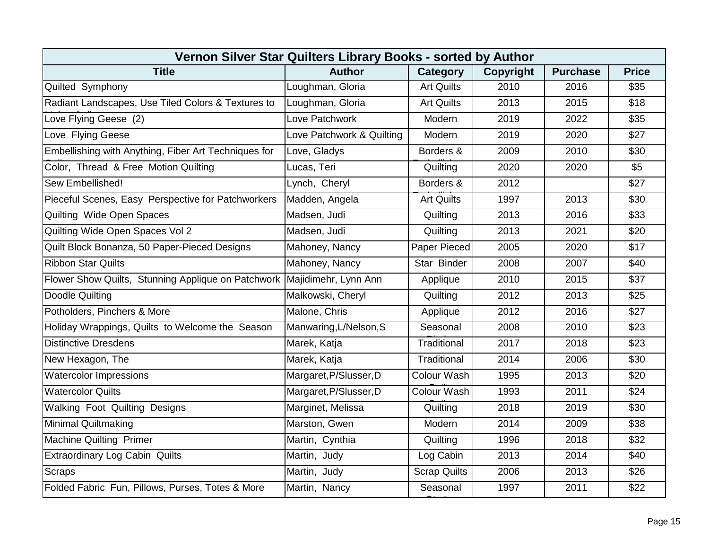| Vernon Silver Star Quilters Library Books - sorted by Author            |                           |                     |                  |                 |              |  |  |  |
|-------------------------------------------------------------------------|---------------------------|---------------------|------------------|-----------------|--------------|--|--|--|
| <b>Title</b>                                                            | <b>Author</b>             | Category            | <b>Copyright</b> | <b>Purchase</b> | <b>Price</b> |  |  |  |
| Quilted Symphony                                                        | Loughman, Gloria          | <b>Art Quilts</b>   | 2010             | 2016            | \$35         |  |  |  |
| Radiant Landscapes, Use Tiled Colors & Textures to                      | Loughman, Gloria          | <b>Art Quilts</b>   | 2013             | 2015            | \$18         |  |  |  |
| Love Flying Geese (2)                                                   | Love Patchwork            | Modern              | 2019             | 2022            | \$35         |  |  |  |
| Love Flying Geese                                                       | Love Patchwork & Quilting | Modern              | 2019             | 2020            | \$27         |  |  |  |
| Embellishing with Anything, Fiber Art Techniques for                    | Love, Gladys              | Borders &           | 2009             | 2010            | \$30         |  |  |  |
| Color, Thread & Free Motion Quilting                                    | Lucas, Teri               | Quilting            | 2020             | 2020            | \$5          |  |  |  |
| Sew Embellished!                                                        | Lynch, Cheryl             | Borders &           | 2012             |                 | \$27         |  |  |  |
| Pieceful Scenes, Easy Perspective for Patchworkers                      | Madden, Angela            | <b>Art Quilts</b>   | 1997             | 2013            | \$30         |  |  |  |
| Quilting Wide Open Spaces                                               | Madsen, Judi              | Quilting            | 2013             | 2016            | \$33         |  |  |  |
| Quilting Wide Open Spaces Vol 2                                         | Madsen, Judi              | Quilting            | 2013             | 2021            | \$20         |  |  |  |
| Quilt Block Bonanza, 50 Paper-Pieced Designs                            | Mahoney, Nancy            | Paper Pieced        | 2005             | 2020            | \$17         |  |  |  |
| <b>Ribbon Star Quilts</b>                                               | Mahoney, Nancy            | Star Binder         | 2008             | 2007            | \$40         |  |  |  |
| Flower Show Quilts, Stunning Applique on Patchwork Majidimehr, Lynn Ann |                           | Applique            | 2010             | 2015            | \$37         |  |  |  |
| Doodle Quilting                                                         | Malkowski, Cheryl         | Quilting            | 2012             | 2013            | \$25         |  |  |  |
| Potholders, Pinchers & More                                             | Malone, Chris             | Applique            | 2012             | 2016            | \$27         |  |  |  |
| Holiday Wrappings, Quilts to Welcome the Season                         | Manwaring, L/Nelson, S    | Seasonal            | 2008             | 2010            | \$23         |  |  |  |
| <b>Distinctive Dresdens</b>                                             | Marek, Katja              | Traditional         | 2017             | 2018            | \$23         |  |  |  |
| New Hexagon, The                                                        | Marek, Katja              | Traditional         | 2014             | 2006            | \$30         |  |  |  |
| <b>Watercolor Impressions</b>                                           | Margaret, P/Slusser, D    | <b>Colour Wash</b>  | 1995             | 2013            | \$20         |  |  |  |
| <b>Watercolor Quilts</b>                                                | Margaret, P/Slusser, D    | Colour Wash         | 1993             | 2011            | \$24         |  |  |  |
| <b>Walking Foot Quilting Designs</b>                                    | Marginet, Melissa         | Quilting            | 2018             | 2019            | \$30         |  |  |  |
| Minimal Quiltmaking                                                     | Marston, Gwen             | Modern              | 2014             | 2009            | \$38         |  |  |  |
| <b>Machine Quilting Primer</b>                                          | Martin, Cynthia           | Quilting            | 1996             | 2018            | \$32         |  |  |  |
| <b>Extraordinary Log Cabin Quilts</b>                                   | Martin, Judy              | Log Cabin           | 2013             | 2014            | \$40         |  |  |  |
| Scraps                                                                  | Martin, Judy              | <b>Scrap Quilts</b> | 2006             | 2013            | \$26         |  |  |  |
| Folded Fabric Fun, Pillows, Purses, Totes & More                        | Martin, Nancy             | Seasonal            | 1997             | 2011            | \$22         |  |  |  |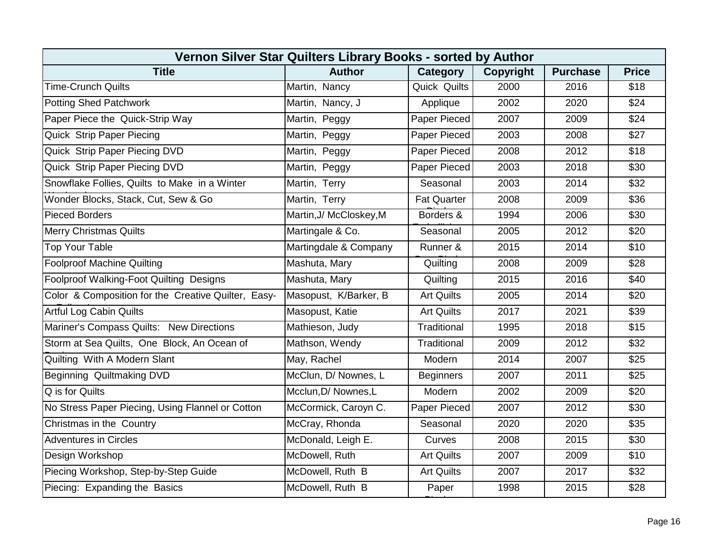| Vernon Silver Star Quilters Library Books - sorted by Author |                         |                     |                  |                 |              |  |  |  |
|--------------------------------------------------------------|-------------------------|---------------------|------------------|-----------------|--------------|--|--|--|
| <b>Title</b>                                                 | <b>Author</b>           | Category            | <b>Copyright</b> | <b>Purchase</b> | <b>Price</b> |  |  |  |
| <b>Time-Crunch Quilts</b>                                    | Martin, Nancy           | <b>Quick Quilts</b> | 2000             | 2016            | \$18         |  |  |  |
| <b>Potting Shed Patchwork</b>                                | Martin, Nancy, J        | Applique            | 2002             | 2020            | \$24         |  |  |  |
| Paper Piece the Quick-Strip Way                              | Martin, Peggy           | Paper Pieced        | 2007             | 2009            | \$24         |  |  |  |
| Quick Strip Paper Piecing                                    | Martin, Peggy           | Paper Pieced        | 2003             | 2008            | \$27         |  |  |  |
| Quick Strip Paper Piecing DVD                                | Martin, Peggy           | Paper Pieced        | 2008             | 2012            | \$18         |  |  |  |
| Quick Strip Paper Piecing DVD                                | Martin, Peggy           | Paper Pieced        | 2003             | 2018            | \$30         |  |  |  |
| Snowflake Follies, Quilts to Make in a Winter                | Martin, Terry           | Seasonal            | 2003             | 2014            | \$32         |  |  |  |
| Wonder Blocks, Stack, Cut, Sew & Go                          | Martin, Terry           | <b>Fat Quarter</b>  | 2008             | 2009            | \$36         |  |  |  |
| <b>Pieced Borders</b>                                        | Martin, J/ McCloskey, M | Borders &           | 1994             | 2006            | \$30         |  |  |  |
| <b>Merry Christmas Quilts</b>                                | Martingale & Co.        | Seasonal            | 2005             | 2012            | \$20         |  |  |  |
| <b>Top Your Table</b>                                        | Martingdale & Company   | Runner &            | 2015             | 2014            | \$10         |  |  |  |
| <b>Foolproof Machine Quilting</b>                            | Mashuta, Mary           | Quilting            | 2008             | 2009            | \$28         |  |  |  |
| Foolproof Walking-Foot Quilting Designs                      | Mashuta, Mary           | Quilting            | 2015             | 2016            | \$40         |  |  |  |
| Color & Composition for the Creative Quilter, Easy-          | Masopust, K/Barker, B   | <b>Art Quilts</b>   | 2005             | 2014            | \$20         |  |  |  |
| <b>Artful Log Cabin Quilts</b>                               | Masopust, Katie         | <b>Art Quilts</b>   | 2017             | 2021            | \$39         |  |  |  |
| Mariner's Compass Quilts: New Directions                     | Mathieson, Judy         | Traditional         | 1995             | 2018            | \$15         |  |  |  |
| Storm at Sea Quilts, One Block, An Ocean of                  | Mathson, Wendy          | Traditional         | 2009             | 2012            | \$32         |  |  |  |
| Quilting With A Modern Slant                                 | May, Rachel             | Modern              | 2014             | 2007            | \$25         |  |  |  |
| Beginning Quiltmaking DVD                                    | McClun, D/ Nownes, L    | <b>Beginners</b>    | 2007             | 2011            | \$25         |  |  |  |
| Q is for Quilts                                              | Mcclun, D/ Nownes, L    | Modern              | 2002             | 2009            | \$20         |  |  |  |
| No Stress Paper Piecing, Using Flannel or Cotton             | McCormick, Caroyn C.    | Paper Pieced        | 2007             | 2012            | \$30         |  |  |  |
| Christmas in the Country                                     | McCray, Rhonda          | Seasonal            | 2020             | 2020            | \$35         |  |  |  |
| <b>Adventures in Circles</b>                                 | McDonald, Leigh E.      | Curves              | 2008             | 2015            | \$30         |  |  |  |
| Design Workshop                                              | McDowell, Ruth          | <b>Art Quilts</b>   | 2007             | 2009            | \$10         |  |  |  |
| Piecing Workshop, Step-by-Step Guide                         | McDowell, Ruth B        | <b>Art Quilts</b>   | 2007             | 2017            | \$32         |  |  |  |
| Piecing: Expanding the Basics                                | McDowell, Ruth B        | Paper               | 1998             | 2015            | \$28         |  |  |  |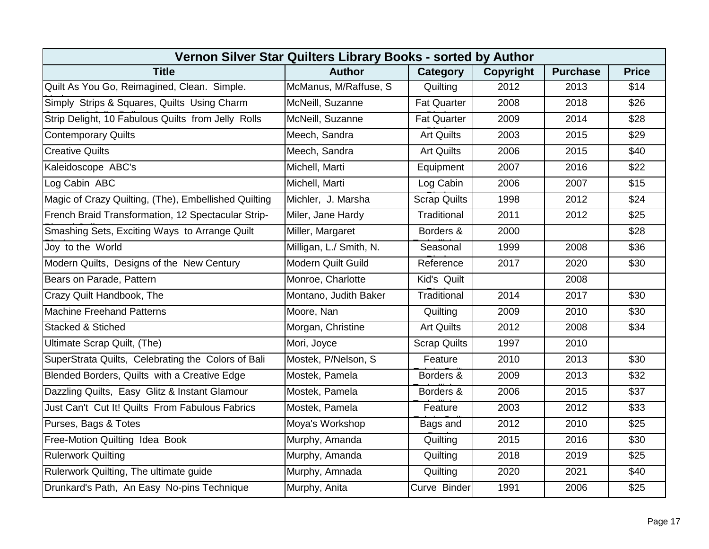| Vernon Silver Star Quilters Library Books - sorted by Author |                           |                     |                  |                 |                  |  |  |  |
|--------------------------------------------------------------|---------------------------|---------------------|------------------|-----------------|------------------|--|--|--|
| <b>Title</b>                                                 | <b>Author</b>             | Category            | <b>Copyright</b> | <b>Purchase</b> | <b>Price</b>     |  |  |  |
| Quilt As You Go, Reimagined, Clean. Simple.                  | McManus, M/Raffuse, S     | Quilting            | 2012             | 2013            | \$14             |  |  |  |
| Simply Strips & Squares, Quilts Using Charm                  | McNeill, Suzanne          | <b>Fat Quarter</b>  | 2008             | 2018            | \$26             |  |  |  |
| Strip Delight, 10 Fabulous Quilts from Jelly Rolls           | McNeill, Suzanne          | <b>Fat Quarter</b>  | 2009             | 2014            | \$28             |  |  |  |
| <b>Contemporary Quilts</b>                                   | Meech, Sandra             | <b>Art Quilts</b>   | 2003             | 2015            | \$29             |  |  |  |
| <b>Creative Quilts</b>                                       | Meech, Sandra             | <b>Art Quilts</b>   | 2006             | 2015            | \$40             |  |  |  |
| Kaleidoscope ABC's                                           | Michell, Marti            | Equipment           | 2007             | 2016            | \$22             |  |  |  |
| Log Cabin ABC                                                | Michell, Marti            | Log Cabin           | 2006             | 2007            | \$15             |  |  |  |
| Magic of Crazy Quilting, (The), Embellished Quilting         | Michler, J. Marsha        | <b>Scrap Quilts</b> | 1998             | 2012            | \$24             |  |  |  |
| French Braid Transformation, 12 Spectacular Strip-           | Miler, Jane Hardy         | Traditional         | 2011             | 2012            | \$25             |  |  |  |
| Smashing Sets, Exciting Ways to Arrange Quilt                | Miller, Margaret          | Borders &           | 2000             |                 | $\overline{$28}$ |  |  |  |
| Joy to the World                                             | Milligan, L./ Smith, N.   | Seasonal            | 1999             | 2008            | \$36             |  |  |  |
| Modern Quilts, Designs of the New Century                    | <b>Modern Quilt Guild</b> | Reference           | 2017             | 2020            | \$30             |  |  |  |
| Bears on Parade, Pattern                                     | Monroe, Charlotte         | Kid's Quilt         |                  | 2008            |                  |  |  |  |
| Crazy Quilt Handbook, The                                    | Montano, Judith Baker     | Traditional         | 2014             | 2017            | \$30             |  |  |  |
| <b>Machine Freehand Patterns</b>                             | Moore, Nan                | Quilting            | 2009             | 2010            | \$30             |  |  |  |
| <b>Stacked &amp; Stiched</b>                                 | Morgan, Christine         | <b>Art Quilts</b>   | 2012             | 2008            | \$34             |  |  |  |
| Ultimate Scrap Quilt, (The)                                  | Mori, Joyce               | <b>Scrap Quilts</b> | 1997             | 2010            |                  |  |  |  |
| SuperStrata Quilts, Celebrating the Colors of Bali           | Mostek, P/Nelson, S       | Feature             | 2010             | 2013            | \$30             |  |  |  |
| Blended Borders, Quilts with a Creative Edge                 | Mostek, Pamela            | Borders &           | 2009             | 2013            | \$32             |  |  |  |
| Dazzling Quilts, Easy Glitz & Instant Glamour                | Mostek, Pamela            | Borders &           | 2006             | 2015            | \$37             |  |  |  |
| Just Can't Cut It! Quilts From Fabulous Fabrics              | Mostek, Pamela            | Feature             | 2003             | 2012            | \$33             |  |  |  |
| Purses, Bags & Totes                                         | Moya's Workshop           | Bags and            | 2012             | 2010            | \$25             |  |  |  |
| Free-Motion Quilting Idea Book                               | Murphy, Amanda            | Quilting            | 2015             | 2016            | \$30             |  |  |  |
| <b>Rulerwork Quilting</b>                                    | Murphy, Amanda            | Quilting            | 2018             | 2019            | \$25             |  |  |  |
| Rulerwork Quilting, The ultimate guide                       | Murphy, Amnada            | Quilting            | 2020             | 2021            | \$40             |  |  |  |
| Drunkard's Path, An Easy No-pins Technique                   | Murphy, Anita             | Curve Binder        | 1991             | 2006            | \$25             |  |  |  |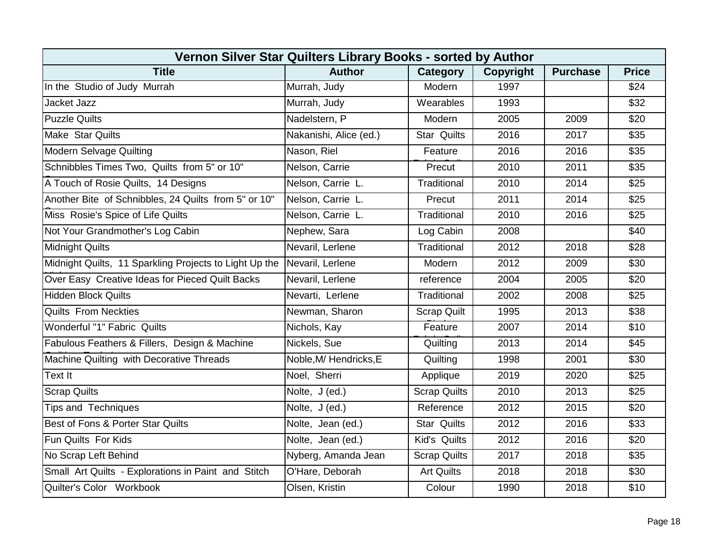| Vernon Silver Star Quilters Library Books - sorted by Author |                        |                     |                  |                 |                  |  |  |  |
|--------------------------------------------------------------|------------------------|---------------------|------------------|-----------------|------------------|--|--|--|
| <b>Title</b>                                                 | <b>Author</b>          | <b>Category</b>     | <b>Copyright</b> | <b>Purchase</b> | <b>Price</b>     |  |  |  |
| In the Studio of Judy Murrah                                 | Murrah, Judy           | Modern              | 1997             |                 | \$24             |  |  |  |
| <b>Jacket Jazz</b>                                           | Murrah, Judy           | Wearables           | 1993             |                 | \$32             |  |  |  |
| <b>Puzzle Quilts</b>                                         | Nadelstern, P          | Modern              | 2005             | 2009            | \$20             |  |  |  |
| <b>Make Star Quilts</b>                                      | Nakanishi, Alice (ed.) | <b>Star Quilts</b>  | 2016             | 2017            | $\overline{$35}$ |  |  |  |
| <b>Modern Selvage Quilting</b>                               | Nason, Riel            | Feature             | 2016             | 2016            | \$35             |  |  |  |
| Schnibbles Times Two, Quilts from 5" or 10"                  | Nelson, Carrie         | Precut              | 2010             | 2011            | \$35             |  |  |  |
| A Touch of Rosie Quilts, 14 Designs                          | Nelson, Carrie L.      | Traditional         | 2010             | 2014            | \$25             |  |  |  |
| Another Bite of Schnibbles, 24 Quilts from 5" or 10"         | Nelson, Carrie L.      | Precut              | 2011             | 2014            | \$25             |  |  |  |
| Miss Rosie's Spice of Life Quilts                            | Nelson, Carrie L.      | Traditional         | 2010             | 2016            | \$25             |  |  |  |
| Not Your Grandmother's Log Cabin                             | Nephew, Sara           | Log Cabin           | 2008             |                 | \$40             |  |  |  |
| <b>Midnight Quilts</b>                                       | Nevaril, Lerlene       | Traditional         | 2012             | 2018            | \$28             |  |  |  |
| Midnight Quilts, 11 Sparkling Projects to Light Up the       | Nevaril, Lerlene       | Modern              | 2012             | 2009            | \$30             |  |  |  |
| Over Easy Creative Ideas for Pieced Quilt Backs              | Nevaril, Lerlene       | reference           | 2004             | 2005            | \$20             |  |  |  |
| <b>Hidden Block Quilts</b>                                   | Nevarti, Lerlene       | Traditional         | 2002             | 2008            | \$25             |  |  |  |
| <b>Quilts From Neckties</b>                                  | Newman, Sharon         | <b>Scrap Quilt</b>  | 1995             | 2013            | \$38             |  |  |  |
| Wonderful "1" Fabric Quilts                                  | Nichols, Kay           | Feature             | 2007             | 2014            | \$10             |  |  |  |
| Fabulous Feathers & Fillers, Design & Machine                | Nickels, Sue           | Quilting            | 2013             | 2014            | \$45             |  |  |  |
| Machine Quilting with Decorative Threads                     | Noble, M/ Hendricks, E | Quilting            | 1998             | 2001            | \$30             |  |  |  |
| Text It                                                      | Noel, Sherri           | Applique            | 2019             | 2020            | \$25             |  |  |  |
| <b>Scrap Quilts</b>                                          | Nolte, J (ed.)         | <b>Scrap Quilts</b> | 2010             | 2013            | \$25             |  |  |  |
| <b>Tips and Techniques</b>                                   | Nolte, J (ed.)         | Reference           | 2012             | 2015            | \$20             |  |  |  |
| Best of Fons & Porter Star Quilts                            | Nolte, Jean (ed.)      | <b>Star Quilts</b>  | 2012             | 2016            | \$33             |  |  |  |
| Fun Quilts For Kids                                          | Nolte, Jean (ed.)      | Kid's Quilts        | 2012             | 2016            | \$20             |  |  |  |
| No Scrap Left Behind                                         | Nyberg, Amanda Jean    | <b>Scrap Quilts</b> | 2017             | 2018            | \$35             |  |  |  |
| Small Art Quilts - Explorations in Paint and Stitch          | O'Hare, Deborah        | <b>Art Quilts</b>   | 2018             | 2018            | \$30             |  |  |  |
| Quilter's Color Workbook                                     | Olsen, Kristin         | Colour              | 1990             | 2018            | \$10             |  |  |  |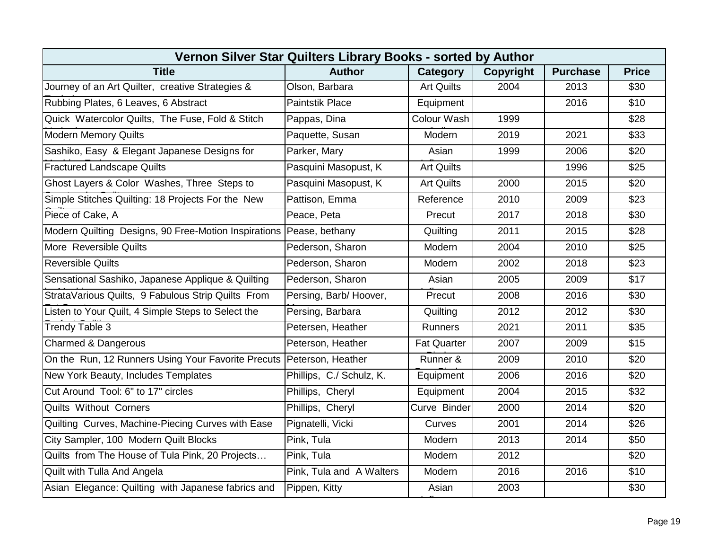| Vernon Silver Star Quilters Library Books - sorted by Author           |                          |                    |                  |                 |              |  |  |  |
|------------------------------------------------------------------------|--------------------------|--------------------|------------------|-----------------|--------------|--|--|--|
| <b>Title</b>                                                           | <b>Author</b>            | Category           | <b>Copyright</b> | <b>Purchase</b> | <b>Price</b> |  |  |  |
| Journey of an Art Quilter, creative Strategies &                       | Olson, Barbara           | <b>Art Quilts</b>  | 2004             | 2013            | \$30         |  |  |  |
| Rubbing Plates, 6 Leaves, 6 Abstract                                   | <b>Paintstik Place</b>   | Equipment          |                  | 2016            | \$10         |  |  |  |
| Quick Watercolor Quilts, The Fuse, Fold & Stitch                       | Pappas, Dina             | Colour Wash        | 1999             |                 | \$28         |  |  |  |
| <b>Modern Memory Quilts</b>                                            | Paquette, Susan          | Modern             | 2019             | 2021            | \$33         |  |  |  |
| Sashiko, Easy & Elegant Japanese Designs for                           | Parker, Mary             | Asian              | 1999             | 2006            | \$20         |  |  |  |
| <b>Fractured Landscape Quilts</b>                                      | Pasquini Masopust, K     | <b>Art Quilts</b>  |                  | 1996            | \$25         |  |  |  |
| Ghost Layers & Color Washes, Three Steps to                            | Pasquini Masopust, K     | <b>Art Quilts</b>  | 2000             | 2015            | \$20         |  |  |  |
| Simple Stitches Quilting: 18 Projects For the New                      | Pattison, Emma           | Reference          | 2010             | 2009            | \$23         |  |  |  |
| Piece of Cake, A                                                       | Peace, Peta              | Precut             | 2017             | 2018            | \$30         |  |  |  |
| Modern Quilting Designs, 90 Free-Motion Inspirations Pease, bethany    |                          | Quilting           | 2011             | 2015            | \$28         |  |  |  |
| More Reversible Quilts                                                 | Pederson, Sharon         | Modern             | 2004             | 2010            | \$25         |  |  |  |
| <b>Reversible Quilts</b>                                               | Pederson, Sharon         | Modern             | 2002             | 2018            | \$23         |  |  |  |
| Sensational Sashiko, Japanese Applique & Quilting                      | Pederson, Sharon         | Asian              | 2005             | 2009            | \$17         |  |  |  |
| StrataVarious Quilts, 9 Fabulous Strip Quilts From                     | Persing, Barb/Hoover,    | Precut             | 2008             | 2016            | \$30         |  |  |  |
| Listen to Your Quilt, 4 Simple Steps to Select the                     | Persing, Barbara         | Quilting           | 2012             | 2012            | \$30         |  |  |  |
| Trendy Table 3                                                         | Petersen, Heather        | Runners            | 2021             | 2011            | \$35         |  |  |  |
| Charmed & Dangerous                                                    | Peterson, Heather        | <b>Fat Quarter</b> | 2007             | 2009            | \$15         |  |  |  |
| On the Run, 12 Runners Using Your Favorite Precuts   Peterson, Heather |                          | Runner &           | 2009             | 2010            | \$20         |  |  |  |
| New York Beauty, Includes Templates                                    | Phillips, C./ Schulz, K. | Equipment          | 2006             | 2016            | \$20         |  |  |  |
| Cut Around Tool: 6" to 17" circles                                     | Phillips, Cheryl         | Equipment          | 2004             | 2015            | \$32         |  |  |  |
| <b>Quilts Without Corners</b>                                          | Phillips, Cheryl         | Curve Binder       | 2000             | 2014            | \$20         |  |  |  |
| Quilting Curves, Machine-Piecing Curves with Ease                      | Pignatelli, Vicki        | Curves             | 2001             | 2014            | \$26         |  |  |  |
| City Sampler, 100 Modern Quilt Blocks                                  | Pink, Tula               | Modern             | 2013             | 2014            | \$50         |  |  |  |
| Quilts from The House of Tula Pink, 20 Projects                        | Pink, Tula               | Modern             | 2012             |                 | \$20         |  |  |  |
| Quilt with Tulla And Angela                                            | Pink, Tula and A Walters | Modern             | 2016             | 2016            | \$10         |  |  |  |
| Asian Elegance: Quilting with Japanese fabrics and                     | Pippen, Kitty            | Asian              | 2003             |                 | \$30         |  |  |  |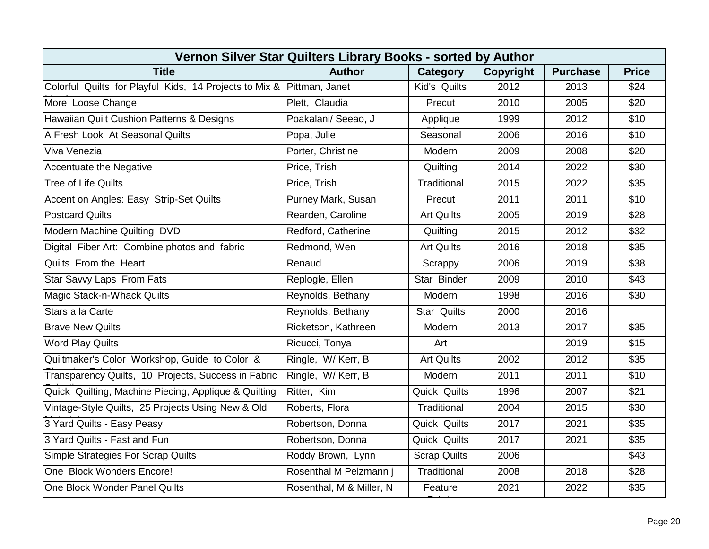| Vernon Silver Star Quilters Library Books - sorted by Author          |                          |                     |           |                 |              |  |  |  |
|-----------------------------------------------------------------------|--------------------------|---------------------|-----------|-----------------|--------------|--|--|--|
| <b>Title</b>                                                          | <b>Author</b>            | Category            | Copyright | <b>Purchase</b> | <b>Price</b> |  |  |  |
| Colorful Quilts for Playful Kids, 14 Projects to Mix & Pittman, Janet |                          | Kid's Quilts        | 2012      | 2013            | \$24         |  |  |  |
| More Loose Change                                                     | Plett, Claudia           | Precut              | 2010      | 2005            | \$20         |  |  |  |
| Hawaiian Quilt Cushion Patterns & Designs                             | Poakalani/ Seeao, J      | Applique            | 1999      | 2012            | \$10         |  |  |  |
| A Fresh Look At Seasonal Quilts                                       | Popa, Julie              | Seasonal            | 2006      | 2016            | \$10         |  |  |  |
| Viva Venezia                                                          | Porter, Christine        | Modern              | 2009      | 2008            | \$20         |  |  |  |
| <b>Accentuate the Negative</b>                                        | Price, Trish             | Quilting            | 2014      | 2022            | \$30         |  |  |  |
| <b>Tree of Life Quilts</b>                                            | Price, Trish             | Traditional         | 2015      | 2022            | \$35         |  |  |  |
| Accent on Angles: Easy Strip-Set Quilts                               | Purney Mark, Susan       | Precut              | 2011      | 2011            | \$10         |  |  |  |
| <b>Postcard Quilts</b>                                                | Rearden, Caroline        | <b>Art Quilts</b>   | 2005      | 2019            | \$28         |  |  |  |
| Modern Machine Quilting DVD                                           | Redford, Catherine       | Quilting            | 2015      | 2012            | \$32         |  |  |  |
| Digital Fiber Art: Combine photos and fabric                          | Redmond, Wen             | <b>Art Quilts</b>   | 2016      | 2018            | \$35         |  |  |  |
| Quilts From the Heart                                                 | Renaud                   | Scrappy             | 2006      | 2019            | \$38         |  |  |  |
| <b>Star Savvy Laps From Fats</b>                                      | Replogle, Ellen          | Star Binder         | 2009      | 2010            | \$43         |  |  |  |
| Magic Stack-n-Whack Quilts                                            | Reynolds, Bethany        | Modern              | 1998      | 2016            | \$30         |  |  |  |
| Stars a la Carte                                                      | Reynolds, Bethany        | <b>Star Quilts</b>  | 2000      | 2016            |              |  |  |  |
| <b>Brave New Quilts</b>                                               | Ricketson, Kathreen      | Modern              | 2013      | 2017            | \$35         |  |  |  |
| <b>Word Play Quilts</b>                                               | Ricucci, Tonya           | Art                 |           | 2019            | \$15         |  |  |  |
| Quiltmaker's Color Workshop, Guide to Color &                         | Ringle, W/Kerr, B        | <b>Art Quilts</b>   | 2002      | 2012            | \$35         |  |  |  |
| Transparency Quilts, 10 Projects, Success in Fabric                   | Ringle, W/Kerr, B        | Modern              | 2011      | 2011            | \$10         |  |  |  |
| Quick Quilting, Machine Piecing, Applique & Quilting                  | Ritter, Kim              | Quick Quilts        | 1996      | 2007            | \$21         |  |  |  |
| Vintage-Style Quilts, 25 Projects Using New & Old                     | Roberts, Flora           | Traditional         | 2004      | 2015            | \$30         |  |  |  |
| 3 Yard Quilts - Easy Peasy                                            | Robertson, Donna         | Quick Quilts        | 2017      | 2021            | \$35         |  |  |  |
| 3 Yard Quilts - Fast and Fun                                          | Robertson, Donna         | Quick Quilts        | 2017      | 2021            | \$35         |  |  |  |
| <b>Simple Strategies For Scrap Quilts</b>                             | Roddy Brown, Lynn        | <b>Scrap Quilts</b> | 2006      |                 | \$43         |  |  |  |
| One Block Wonders Encore!                                             | Rosenthal M Pelzmann j   | Traditional         | 2008      | 2018            | \$28         |  |  |  |
| One Block Wonder Panel Quilts                                         | Rosenthal, M & Miller, N | Feature             | 2021      | 2022            | \$35         |  |  |  |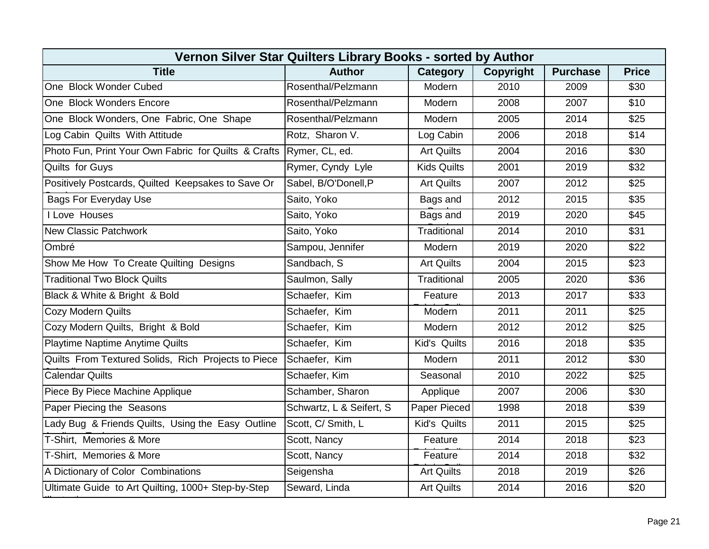| Vernon Silver Star Quilters Library Books - sorted by Author |                          |                    |                  |                 |              |  |  |  |
|--------------------------------------------------------------|--------------------------|--------------------|------------------|-----------------|--------------|--|--|--|
| <b>Title</b>                                                 | <b>Author</b>            | <b>Category</b>    | <b>Copyright</b> | <b>Purchase</b> | <b>Price</b> |  |  |  |
| One Block Wonder Cubed                                       | Rosenthal/Pelzmann       | Modern             | 2010             | 2009            | \$30         |  |  |  |
| One Block Wonders Encore                                     | Rosenthal/Pelzmann       | Modern             | 2008             | 2007            | \$10         |  |  |  |
| One Block Wonders, One Fabric, One Shape                     | Rosenthal/Pelzmann       | Modern             | 2005             | 2014            | \$25         |  |  |  |
| Log Cabin Quilts With Attitude                               | Rotz, Sharon V.          | Log Cabin          | 2006             | 2018            | \$14         |  |  |  |
| Photo Fun, Print Your Own Fabric for Quilts & Crafts         | Rymer, CL, ed.           | <b>Art Quilts</b>  | 2004             | 2016            | \$30         |  |  |  |
| Quilts for Guys                                              | Rymer, Cyndy Lyle        | <b>Kids Quilts</b> | 2001             | 2019            | \$32         |  |  |  |
| Positively Postcards, Quilted Keepsakes to Save Or           | Sabel, B/O'Donell, P     | <b>Art Quilts</b>  | 2007             | 2012            | \$25         |  |  |  |
| <b>Bags For Everyday Use</b>                                 | Saito, Yoko              | Bags and           | 2012             | 2015            | \$35         |  |  |  |
| I Love Houses                                                | Saito, Yoko              | Bags and           | 2019             | 2020            | \$45         |  |  |  |
| <b>New Classic Patchwork</b>                                 | Saito, Yoko              | Traditional        | 2014             | 2010            | \$31         |  |  |  |
| Ombré                                                        | Sampou, Jennifer         | Modern             | 2019             | 2020            | \$22         |  |  |  |
| Show Me How To Create Quilting Designs                       | Sandbach, S              | <b>Art Quilts</b>  | 2004             | 2015            | \$23         |  |  |  |
| <b>Traditional Two Block Quilts</b>                          | Saulmon, Sally           | Traditional        | 2005             | 2020            | \$36         |  |  |  |
| Black & White & Bright & Bold                                | Schaefer, Kim            | Feature            | 2013             | 2017            | \$33         |  |  |  |
| <b>Cozy Modern Quilts</b>                                    | Schaefer, Kim            | Modern             | 2011             | 2011            | \$25         |  |  |  |
| Cozy Modern Quilts, Bright & Bold                            | Schaefer, Kim            | Modern             | 2012             | 2012            | \$25         |  |  |  |
| Playtime Naptime Anytime Quilts                              | Schaefer, Kim            | Kid's Quilts       | 2016             | 2018            | \$35         |  |  |  |
| Quilts From Textured Solids, Rich Projects to Piece          | Schaefer, Kim            | Modern             | 2011             | 2012            | \$30         |  |  |  |
| <b>Calendar Quilts</b>                                       | Schaefer, Kim            | Seasonal           | 2010             | 2022            | \$25         |  |  |  |
| Piece By Piece Machine Applique                              | Schamber, Sharon         | Applique           | 2007             | 2006            | \$30         |  |  |  |
| Paper Piecing the Seasons                                    | Schwartz, L & Seifert, S | Paper Pieced       | 1998             | 2018            | \$39         |  |  |  |
| Lady Bug & Friends Quilts, Using the Easy Outline            | Scott, C/ Smith, L       | Kid's Quilts       | 2011             | 2015            | \$25         |  |  |  |
| T-Shirt, Memories & More                                     | Scott, Nancy             | Feature            | 2014             | 2018            | \$23         |  |  |  |
| T-Shirt, Memories & More                                     | Scott, Nancy             | Feature            | 2014             | 2018            | \$32         |  |  |  |
| A Dictionary of Color Combinations                           | Seigensha                | <b>Art Quilts</b>  | 2018             | 2019            | \$26         |  |  |  |
| Ultimate Guide to Art Quilting, 1000+ Step-by-Step           | Seward, Linda            | <b>Art Quilts</b>  | 2014             | 2016            | \$20         |  |  |  |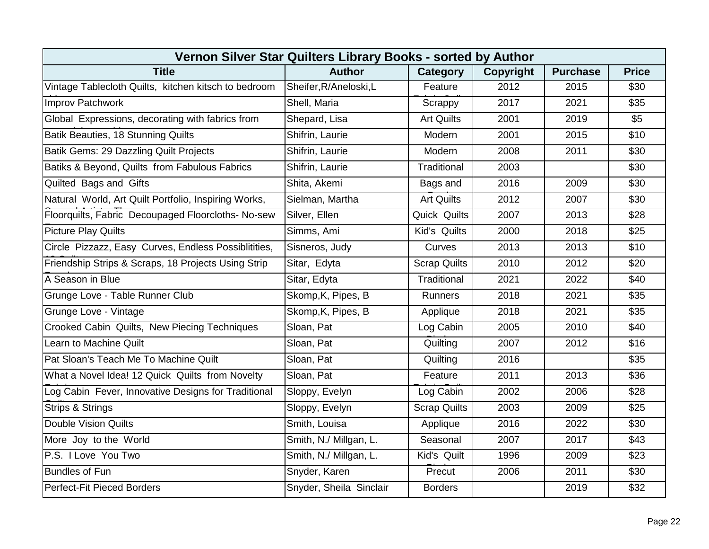| Vernon Silver Star Quilters Library Books - sorted by Author |                         |                     |           |                 |              |  |  |  |
|--------------------------------------------------------------|-------------------------|---------------------|-----------|-----------------|--------------|--|--|--|
| <b>Title</b>                                                 | <b>Author</b>           | Category            | Copyright | <b>Purchase</b> | <b>Price</b> |  |  |  |
| Vintage Tablecloth Quilts, kitchen kitsch to bedroom         | Sheifer, R/Aneloski, L  | Feature             | 2012      | 2015            | \$30         |  |  |  |
| Improv Patchwork                                             | Shell, Maria            | Scrappy             | 2017      | 2021            | \$35         |  |  |  |
| Global Expressions, decorating with fabrics from             | Shepard, Lisa           | <b>Art Quilts</b>   | 2001      | 2019            | \$5          |  |  |  |
| Batik Beauties, 18 Stunning Quilts                           | Shifrin, Laurie         | Modern              | 2001      | 2015            | \$10         |  |  |  |
| Batik Gems: 29 Dazzling Quilt Projects                       | Shifrin, Laurie         | Modern              | 2008      | 2011            | \$30         |  |  |  |
| Batiks & Beyond, Quilts from Fabulous Fabrics                | Shifrin, Laurie         | Traditional         | 2003      |                 | \$30         |  |  |  |
| Quilted Bags and Gifts                                       | Shita, Akemi            | Bags and            | 2016      | 2009            | \$30         |  |  |  |
| Natural World, Art Quilt Portfolio, Inspiring Works,         | Sielman, Martha         | <b>Art Quilts</b>   | 2012      | 2007            | \$30         |  |  |  |
| Floorquilts, Fabric Decoupaged Floorcloths- No-sew           | Silver, Ellen           | <b>Quick Quilts</b> | 2007      | 2013            | \$28         |  |  |  |
| <b>Picture Play Quilts</b>                                   | Simms, Ami              | Kid's Quilts        | 2000      | 2018            | \$25         |  |  |  |
| Circle Pizzazz, Easy Curves, Endless Possiblitities,         | Sisneros, Judy          | Curves              | 2013      | 2013            | \$10         |  |  |  |
| Friendship Strips & Scraps, 18 Projects Using Strip          | Sitar, Edyta            | <b>Scrap Quilts</b> | 2010      | 2012            | \$20         |  |  |  |
| A Season in Blue                                             | Sitar, Edyta            | Traditional         | 2021      | 2022            | \$40         |  |  |  |
| Grunge Love - Table Runner Club                              | Skomp, K, Pipes, B      | Runners             | 2018      | 2021            | \$35         |  |  |  |
| Grunge Love - Vintage                                        | Skomp, K, Pipes, B      | Applique            | 2018      | 2021            | \$35         |  |  |  |
| Crooked Cabin Quilts, New Piecing Techniques                 | Sloan, Pat              | Log Cabin           | 2005      | 2010            | \$40         |  |  |  |
| Learn to Machine Quilt                                       | Sloan, Pat              | Quilting            | 2007      | 2012            | \$16         |  |  |  |
| Pat Sloan's Teach Me To Machine Quilt                        | Sloan, Pat              | Quilting            | 2016      |                 | \$35         |  |  |  |
| What a Novel Idea! 12 Quick Quilts from Novelty              | Sloan, Pat              | Feature             | 2011      | 2013            | \$36         |  |  |  |
| Log Cabin Fever, Innovative Designs for Traditional          | Sloppy, Evelyn          | Log Cabin           | 2002      | 2006            | \$28         |  |  |  |
| <b>Strips &amp; Strings</b>                                  | Sloppy, Evelyn          | <b>Scrap Quilts</b> | 2003      | 2009            | \$25         |  |  |  |
| Double Vision Quilts                                         | Smith, Louisa           | Applique            | 2016      | 2022            | \$30         |  |  |  |
| More Joy to the World                                        | Smith, N./ Millgan, L.  | Seasonal            | 2007      | 2017            | \$43         |  |  |  |
| P.S. I Love You Two                                          | Smith, N./ Millgan, L.  | Kid's Quilt         | 1996      | 2009            | \$23         |  |  |  |
| <b>Bundles of Fun</b>                                        | Snyder, Karen           | Precut              | 2006      | 2011            | \$30         |  |  |  |
| Perfect-Fit Pieced Borders                                   | Snyder, Sheila Sinclair | <b>Borders</b>      |           | 2019            | \$32         |  |  |  |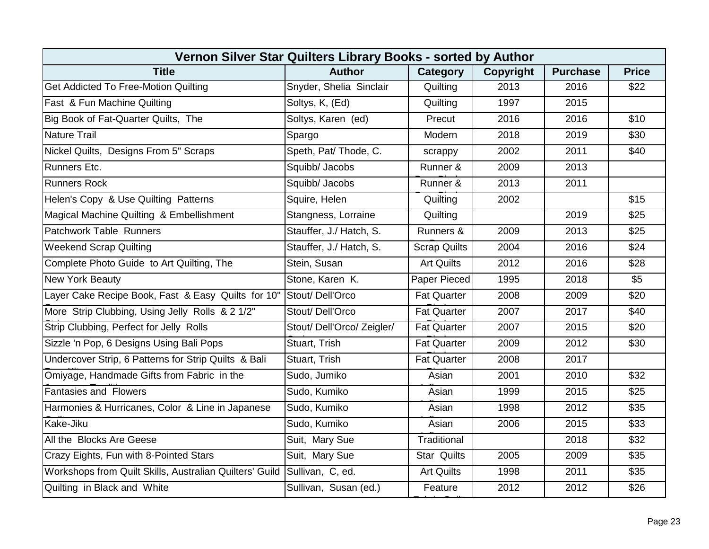| Vernon Silver Star Quilters Library Books - sorted by Author             |                            |                     |           |                 |              |  |  |  |
|--------------------------------------------------------------------------|----------------------------|---------------------|-----------|-----------------|--------------|--|--|--|
| <b>Title</b>                                                             | <b>Author</b>              | Category            | Copyright | <b>Purchase</b> | <b>Price</b> |  |  |  |
| Get Addicted To Free-Motion Quilting                                     | Snyder, Shelia Sinclair    | Quilting            | 2013      | 2016            | \$22         |  |  |  |
| Fast & Fun Machine Quilting                                              | Soltys, K, (Ed)            | Quilting            | 1997      | 2015            |              |  |  |  |
| Big Book of Fat-Quarter Quilts, The                                      | Soltys, Karen (ed)         | Precut              | 2016      | 2016            | \$10         |  |  |  |
| <b>Nature Trail</b>                                                      | Spargo                     | Modern              | 2018      | 2019            | \$30         |  |  |  |
| Nickel Quilts, Designs From 5" Scraps                                    | Speth, Pat/ Thode, C.      | scrappy             | 2002      | 2011            | \$40         |  |  |  |
| <b>Runners Etc.</b>                                                      | Squibb/ Jacobs             | Runner &            | 2009      | 2013            |              |  |  |  |
| <b>Runners Rock</b>                                                      | Squibb/ Jacobs             | Runner &            | 2013      | 2011            |              |  |  |  |
| Helen's Copy & Use Quilting Patterns                                     | Squire, Helen              | Quilting            | 2002      |                 | \$15         |  |  |  |
| Magical Machine Quilting & Embellishment                                 | Stangness, Lorraine        | Quilting            |           | 2019            | \$25         |  |  |  |
| Patchwork Table Runners                                                  | Stauffer, J./ Hatch, S.    | Runners &           | 2009      | 2013            | \$25         |  |  |  |
| <b>Weekend Scrap Quilting</b>                                            | Stauffer, J./ Hatch, S.    | <b>Scrap Quilts</b> | 2004      | 2016            | \$24         |  |  |  |
| Complete Photo Guide to Art Quilting, The                                | Stein, Susan               | <b>Art Quilts</b>   | 2012      | 2016            | \$28         |  |  |  |
| <b>New York Beauty</b>                                                   | Stone, Karen K.            | Paper Pieced        | 1995      | 2018            | \$5          |  |  |  |
| Layer Cake Recipe Book, Fast & Easy Quilts for 10"                       | Stout/Dell'Orco            | <b>Fat Quarter</b>  | 2008      | 2009            | \$20         |  |  |  |
| More Strip Clubbing, Using Jelly Rolls & 2 1/2"                          | Stout/Dell'Orco            | <b>Fat Quarter</b>  | 2007      | 2017            | \$40         |  |  |  |
| Strip Clubbing, Perfect for Jelly Rolls                                  | Stout/ Dell'Orco/ Zeigler/ | <b>Fat Quarter</b>  | 2007      | 2015            | \$20         |  |  |  |
| Sizzle 'n Pop, 6 Designs Using Bali Pops                                 | Stuart, Trish              | <b>Fat Quarter</b>  | 2009      | 2012            | \$30         |  |  |  |
| Undercover Strip, 6 Patterns for Strip Quilts & Bali                     | Stuart, Trish              | <b>Fat Quarter</b>  | 2008      | 2017            |              |  |  |  |
| Omiyage, Handmade Gifts from Fabric in the                               | Sudo, Jumiko               | Asian               | 2001      | 2010            | \$32         |  |  |  |
| <b>Fantasies and Flowers</b>                                             | Sudo, Kumiko               | Asian               | 1999      | 2015            | \$25         |  |  |  |
| Harmonies & Hurricanes, Color & Line in Japanese                         | Sudo, Kumiko               | Asian               | 1998      | 2012            | \$35         |  |  |  |
| Kake-Jiku                                                                | Sudo, Kumiko               | Asian               | 2006      | 2015            | \$33         |  |  |  |
| All the Blocks Are Geese                                                 | Suit, Mary Sue             | Traditional         |           | 2018            | \$32         |  |  |  |
| Crazy Eights, Fun with 8-Pointed Stars                                   | Suit, Mary Sue             | <b>Star Quilts</b>  | 2005      | 2009            | \$35         |  |  |  |
| Workshops from Quilt Skills, Australian Quilters' Guild Sullivan, C, ed. |                            | <b>Art Quilts</b>   | 1998      | 2011            | \$35         |  |  |  |
| Quilting in Black and White                                              | Sullivan, Susan (ed.)      | Feature             | 2012      | 2012            | \$26         |  |  |  |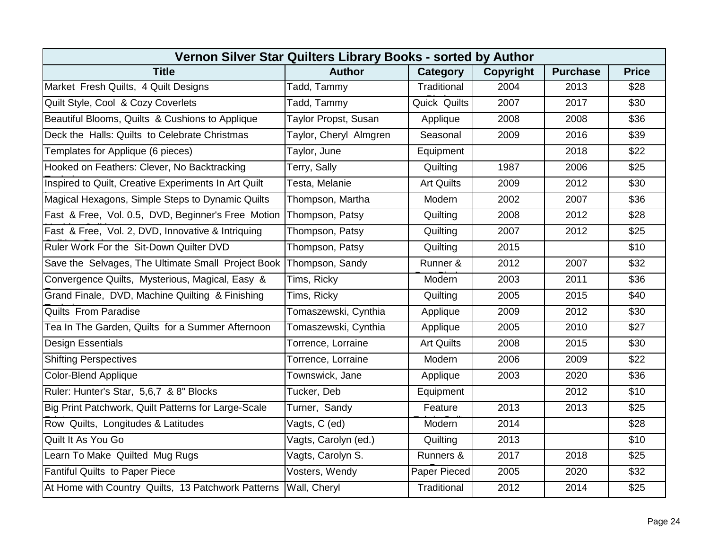| Vernon Silver Star Quilters Library Books - sorted by Author       |                        |                   |                  |                 |              |  |  |  |
|--------------------------------------------------------------------|------------------------|-------------------|------------------|-----------------|--------------|--|--|--|
| <b>Title</b>                                                       | <b>Author</b>          | Category          | <b>Copyright</b> | <b>Purchase</b> | <b>Price</b> |  |  |  |
| Market Fresh Quilts, 4 Quilt Designs                               | Tadd, Tammy            | Traditional       | 2004             | 2013            | \$28         |  |  |  |
| Quilt Style, Cool & Cozy Coverlets                                 | Tadd, Tammy            | Quick Quilts      | 2007             | 2017            | \$30         |  |  |  |
| Beautiful Blooms, Quilts & Cushions to Applique                    | Taylor Propst, Susan   | Applique          | 2008             | 2008            | \$36         |  |  |  |
| Deck the Halls: Quilts to Celebrate Christmas                      | Taylor, Cheryl Almgren | Seasonal          | 2009             | 2016            | \$39         |  |  |  |
| Templates for Applique (6 pieces)                                  | Taylor, June           | Equipment         |                  | 2018            | \$22         |  |  |  |
| Hooked on Feathers: Clever, No Backtracking                        | Terry, Sally           | Quilting          | 1987             | 2006            | \$25         |  |  |  |
| Inspired to Quilt, Creative Experiments In Art Quilt               | Testa, Melanie         | <b>Art Quilts</b> | 2009             | 2012            | \$30         |  |  |  |
| Magical Hexagons, Simple Steps to Dynamic Quilts                   | Thompson, Martha       | Modern            | 2002             | 2007            | \$36         |  |  |  |
| Fast & Free, Vol. 0.5, DVD, Beginner's Free Motion Thompson, Patsy |                        | Quilting          | 2008             | 2012            | \$28         |  |  |  |
| Fast & Free, Vol. 2, DVD, Innovative & Intriquing                  | Thompson, Patsy        | Quilting          | 2007             | 2012            | \$25         |  |  |  |
| Ruler Work For the Sit-Down Quilter DVD                            | Thompson, Patsy        | Quilting          | 2015             |                 | \$10         |  |  |  |
| Save the Selvages, The Ultimate Small Project Book Thompson, Sandy |                        | Runner &          | 2012             | 2007            | \$32         |  |  |  |
| Convergence Quilts, Mysterious, Magical, Easy &                    | Tims, Ricky            | Modern            | 2003             | 2011            | \$36         |  |  |  |
| Grand Finale, DVD, Machine Quilting & Finishing                    | Tims, Ricky            | Quilting          | 2005             | 2015            | \$40         |  |  |  |
| <b>Quilts From Paradise</b>                                        | Tomaszewski, Cynthia   | Applique          | 2009             | 2012            | \$30         |  |  |  |
| Tea In The Garden, Quilts for a Summer Afternoon                   | Tomaszewski, Cynthia   | Applique          | 2005             | 2010            | \$27         |  |  |  |
| <b>Design Essentials</b>                                           | Torrence, Lorraine     | <b>Art Quilts</b> | 2008             | 2015            | \$30         |  |  |  |
| <b>Shifting Perspectives</b>                                       | Torrence, Lorraine     | Modern            | 2006             | 2009            | \$22         |  |  |  |
| <b>Color-Blend Applique</b>                                        | Townswick, Jane        | Applique          | 2003             | 2020            | \$36         |  |  |  |
| Ruler: Hunter's Star, 5,6,7 & 8" Blocks                            | Tucker, Deb            | Equipment         |                  | 2012            | \$10         |  |  |  |
| Big Print Patchwork, Quilt Patterns for Large-Scale                | Turner, Sandy          | Feature           | 2013             | 2013            | \$25         |  |  |  |
| Row Quilts, Longitudes & Latitudes                                 | Vagts, C (ed)          | Modern            | 2014             |                 | \$28         |  |  |  |
| Quilt It As You Go                                                 | Vagts, Carolyn (ed.)   | Quilting          | 2013             |                 | \$10         |  |  |  |
| Learn To Make Quilted Mug Rugs                                     | Vagts, Carolyn S.      | Runners &         | 2017             | 2018            | \$25         |  |  |  |
| <b>Fantiful Quilts to Paper Piece</b>                              | Vosters, Wendy         | Paper Pieced      | 2005             | 2020            | \$32         |  |  |  |
| At Home with Country Quilts, 13 Patchwork Patterns                 | Wall, Cheryl           | Traditional       | 2012             | 2014            | \$25         |  |  |  |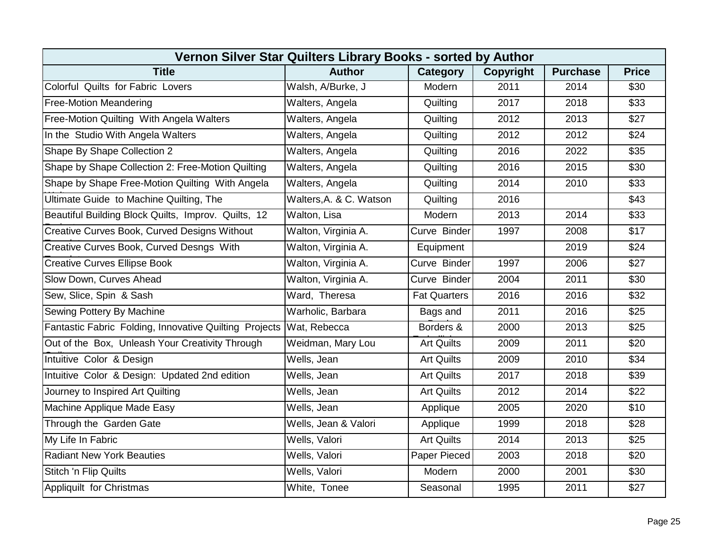| Vernon Silver Star Quilters Library Books - sorted by Author |                         |                     |                  |                 |              |  |
|--------------------------------------------------------------|-------------------------|---------------------|------------------|-----------------|--------------|--|
| <b>Title</b>                                                 | <b>Author</b>           | Category            | <b>Copyright</b> | <b>Purchase</b> | <b>Price</b> |  |
| Colorful Quilts for Fabric Lovers                            | Walsh, A/Burke, J       | Modern              | 2011             | 2014            | \$30         |  |
| <b>Free-Motion Meandering</b>                                | Walters, Angela         | Quilting            | 2017             | 2018            | \$33         |  |
| Free-Motion Quilting With Angela Walters                     | Walters, Angela         | Quilting            | 2012             | 2013            | \$27         |  |
| In the Studio With Angela Walters                            | Walters, Angela         | Quilting            | 2012             | 2012            | \$24         |  |
| Shape By Shape Collection 2                                  | Walters, Angela         | Quilting            | 2016             | 2022            | \$35         |  |
| Shape by Shape Collection 2: Free-Motion Quilting            | Walters, Angela         | Quilting            | 2016             | 2015            | \$30         |  |
| Shape by Shape Free-Motion Quilting With Angela              | Walters, Angela         | Quilting            | 2014             | 2010            | \$33         |  |
| Ultimate Guide to Machine Quilting, The                      | Walters, A. & C. Watson | Quilting            | 2016             |                 | \$43         |  |
| Beautiful Building Block Quilts, Improv. Quilts, 12          | Walton, Lisa            | Modern              | 2013             | 2014            | \$33         |  |
| Creative Curves Book, Curved Designs Without                 | Walton, Virginia A.     | Curve Binder        | 1997             | 2008            | \$17         |  |
| Creative Curves Book, Curved Desngs With                     | Walton, Virginia A.     | Equipment           |                  | 2019            | \$24         |  |
| <b>Creative Curves Ellipse Book</b>                          | Walton, Virginia A.     | Curve Binder        | 1997             | 2006            | \$27         |  |
| Slow Down, Curves Ahead                                      | Walton, Virginia A.     | Curve Binder        | 2004             | 2011            | \$30         |  |
| Sew, Slice, Spin & Sash                                      | Ward, Theresa           | <b>Fat Quarters</b> | 2016             | 2016            | \$32         |  |
| Sewing Pottery By Machine                                    | Warholic, Barbara       | Bags and            | 2011             | 2016            | \$25         |  |
| Fantastic Fabric Folding, Innovative Quilting Projects       | Wat, Rebecca            | Borders &           | 2000             | 2013            | \$25         |  |
| Out of the Box, Unleash Your Creativity Through              | Weidman, Mary Lou       | <b>Art Quilts</b>   | 2009             | 2011            | \$20         |  |
| Intuitive Color & Design                                     | Wells, Jean             | <b>Art Quilts</b>   | 2009             | 2010            | \$34         |  |
| Intuitive Color & Design: Updated 2nd edition                | Wells, Jean             | <b>Art Quilts</b>   | 2017             | 2018            | \$39         |  |
| Journey to Inspired Art Quilting                             | Wells, Jean             | <b>Art Quilts</b>   | 2012             | 2014            | \$22         |  |
| Machine Applique Made Easy                                   | Wells, Jean             | Applique            | 2005             | 2020            | \$10         |  |
| Through the Garden Gate                                      | Wells, Jean & Valori    | Applique            | 1999             | 2018            | \$28         |  |
| My Life In Fabric                                            | Wells, Valori           | <b>Art Quilts</b>   | 2014             | 2013            | \$25         |  |
| <b>Radiant New York Beauties</b>                             | Wells, Valori           | Paper Pieced        | 2003             | 2018            | \$20         |  |
| Stitch 'n Flip Quilts                                        | Wells, Valori           | Modern              | 2000             | 2001            | \$30         |  |
| Appliquilt for Christmas                                     | White, Tonee            | Seasonal            | 1995             | 2011            | \$27         |  |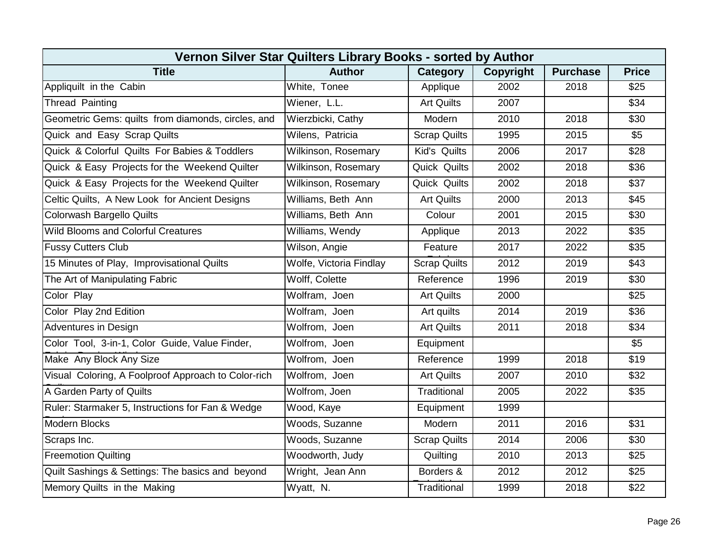| Vernon Silver Star Quilters Library Books - sorted by Author |                            |                     |                  |                 |              |  |
|--------------------------------------------------------------|----------------------------|---------------------|------------------|-----------------|--------------|--|
| <b>Title</b>                                                 | <b>Author</b>              | Category            | <b>Copyright</b> | <b>Purchase</b> | <b>Price</b> |  |
| Appliquilt in the Cabin                                      | White, Tonee               | Applique            | 2002             | 2018            | \$25         |  |
| <b>Thread Painting</b>                                       | Wiener, L.L.               | <b>Art Quilts</b>   | 2007             |                 | \$34         |  |
| Geometric Gems: quilts from diamonds, circles, and           | Wierzbicki, Cathy          | Modern              | 2010             | 2018            | \$30         |  |
| Quick and Easy Scrap Quilts                                  | Wilens, Patricia           | <b>Scrap Quilts</b> | 1995             | 2015            | \$5          |  |
| Quick & Colorful Quilts For Babies & Toddlers                | Wilkinson, Rosemary        | Kid's Quilts        | 2006             | 2017            | \$28         |  |
| Quick & Easy Projects for the Weekend Quilter                | Wilkinson, Rosemary        | Quick Quilts        | 2002             | 2018            | \$36         |  |
| Quick & Easy Projects for the Weekend Quilter                | <b>Wilkinson, Rosemary</b> | <b>Quick Quilts</b> | 2002             | 2018            | \$37         |  |
| Celtic Quilts, A New Look for Ancient Designs                | Williams, Beth Ann         | <b>Art Quilts</b>   | 2000             | 2013            | \$45         |  |
| Colorwash Bargello Quilts                                    | Williams, Beth Ann         | Colour              | 2001             | 2015            | \$30         |  |
| <b>Wild Blooms and Colorful Creatures</b>                    | Williams, Wendy            | Applique            | 2013             | 2022            | \$35         |  |
| <b>Fussy Cutters Club</b>                                    | Wilson, Angie              | Feature             | 2017             | 2022            | \$35         |  |
| 15 Minutes of Play, Improvisational Quilts                   | Wolfe, Victoria Findlay    | <b>Scrap Quilts</b> | 2012             | 2019            | \$43         |  |
| The Art of Manipulating Fabric                               | Wolff, Colette             | Reference           | 1996             | 2019            | \$30         |  |
| Color Play                                                   | Wolfram, Joen              | <b>Art Quilts</b>   | 2000             |                 | \$25         |  |
| Color Play 2nd Edition                                       | Wolfram, Joen              | Art quilts          | 2014             | 2019            | \$36         |  |
| <b>Adventures in Design</b>                                  | Wolfrom, Joen              | <b>Art Quilts</b>   | 2011             | 2018            | \$34         |  |
| Color Tool, 3-in-1, Color Guide, Value Finder,               | Wolfrom, Joen              | Equipment           |                  |                 | \$5          |  |
| Make Any Block Any Size                                      | Wolfrom, Joen              | Reference           | 1999             | 2018            | \$19         |  |
| Visual Coloring, A Foolproof Approach to Color-rich          | Wolfrom, Joen              | <b>Art Quilts</b>   | 2007             | 2010            | \$32         |  |
| A Garden Party of Quilts                                     | Wolfrom, Joen              | Traditional         | 2005             | 2022            | \$35         |  |
| Ruler: Starmaker 5, Instructions for Fan & Wedge             | Wood, Kaye                 | Equipment           | 1999             |                 |              |  |
| <b>Modern Blocks</b>                                         | Woods, Suzanne             | Modern              | 2011             | 2016            | \$31         |  |
| Scraps Inc.                                                  | Woods, Suzanne             | <b>Scrap Quilts</b> | 2014             | 2006            | \$30         |  |
| <b>Freemotion Quilting</b>                                   | Woodworth, Judy            | Quilting            | 2010             | 2013            | \$25         |  |
| Quilt Sashings & Settings: The basics and beyond             | Wright, Jean Ann           | Borders &           | 2012             | 2012            | \$25         |  |
| Memory Quilts in the Making                                  | Wyatt, N.                  | Traditional         | 1999             | 2018            | \$22         |  |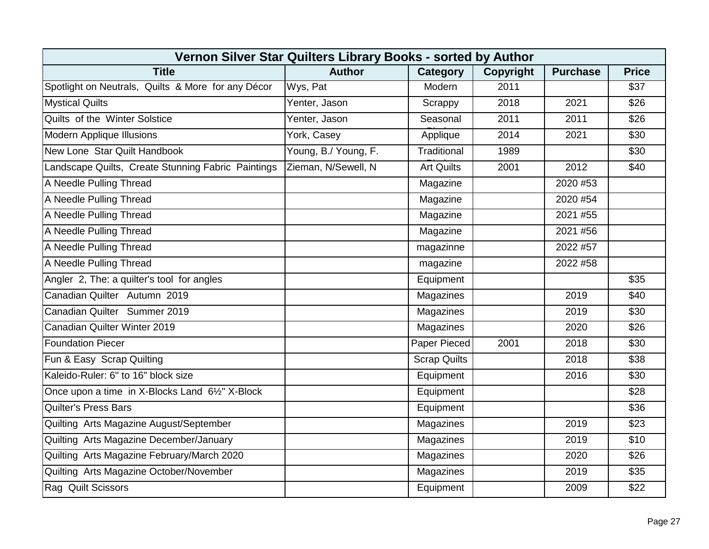| Vernon Silver Star Quilters Library Books - sorted by Author |                      |                     |           |                 |              |  |
|--------------------------------------------------------------|----------------------|---------------------|-----------|-----------------|--------------|--|
| <b>Title</b>                                                 | <b>Author</b>        | <b>Category</b>     | Copyright | <b>Purchase</b> | <b>Price</b> |  |
| Spotlight on Neutrals, Quilts & More for any Décor           | Wys, Pat             | Modern              | 2011      |                 | \$37         |  |
| <b>Mystical Quilts</b>                                       | Yenter, Jason        | Scrappy             | 2018      | 2021            | \$26         |  |
| Quilts of the Winter Solstice                                | Yenter, Jason        | Seasonal            | 2011      | 2011            | \$26         |  |
| <b>Modern Applique Illusions</b>                             | York, Casey          | Applique            | 2014      | 2021            | \$30         |  |
| New Lone Star Quilt Handbook                                 | Young, B./ Young, F. | Traditional         | 1989      |                 | \$30         |  |
| Landscape Quilts, Create Stunning Fabric Paintings           | Zieman, N/Sewell, N  | <b>Art Quilts</b>   | 2001      | 2012            | \$40         |  |
| A Needle Pulling Thread                                      |                      | Magazine            |           | 2020 #53        |              |  |
| A Needle Pulling Thread                                      |                      | Magazine            |           | 2020 #54        |              |  |
| A Needle Pulling Thread                                      |                      | Magazine            |           | 2021 #55        |              |  |
| A Needle Pulling Thread                                      |                      | Magazine            |           | 2021 #56        |              |  |
| A Needle Pulling Thread                                      |                      | magazinne           |           | 2022 #57        |              |  |
| A Needle Pulling Thread                                      |                      | magazine            |           | 2022 #58        |              |  |
| Angler 2, The: a quilter's tool for angles                   |                      | Equipment           |           |                 | \$35         |  |
| Canadian Quilter Autumn 2019                                 |                      | Magazines           |           | 2019            | \$40         |  |
| Canadian Quilter Summer 2019                                 |                      | Magazines           |           | 2019            | \$30         |  |
| Canadian Quilter Winter 2019                                 |                      | Magazines           |           | 2020            | \$26         |  |
| <b>Foundation Piecer</b>                                     |                      | Paper Pieced        | 2001      | 2018            | \$30         |  |
| Fun & Easy Scrap Quilting                                    |                      | <b>Scrap Quilts</b> |           | 2018            | \$38         |  |
| Kaleido-Ruler: 6" to 16" block size                          |                      | Equipment           |           | 2016            | \$30         |  |
| Once upon a time in X-Blocks Land 61/2" X-Block              |                      | Equipment           |           |                 | \$28         |  |
| <b>Quilter's Press Bars</b>                                  |                      | Equipment           |           |                 | \$36         |  |
| Quilting Arts Magazine August/September                      |                      | Magazines           |           | 2019            | \$23         |  |
| Quilting Arts Magazine December/January                      |                      | Magazines           |           | 2019            | \$10         |  |
| Quilting Arts Magazine February/March 2020                   |                      | Magazines           |           | 2020            | \$26         |  |
| Quilting Arts Magazine October/November                      |                      | Magazines           |           | 2019            | \$35         |  |
| Rag Quilt Scissors                                           |                      | Equipment           |           | 2009            | \$22         |  |